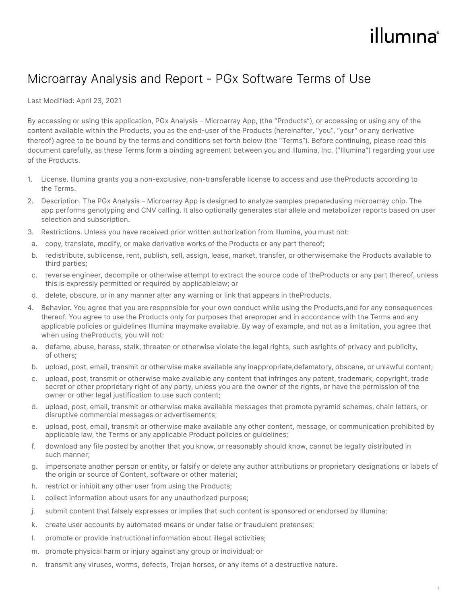# illumına

### Microarray Analysis and Report - PGx Software Terms of Use

Last Modified: April 23, 2021

By accessing or using this application, PGx Analysis – Microarray App, (the "Products"), or accessing or using any of the content available within the Products, you as the end-user of the Products (hereinafter, "you", "your" or any derivative thereof) agree to be bound by the terms and conditions set forth below (the "Terms"). Before continuing, please read this document carefully, as these Terms form a binding agreement between you and Illumina, Inc. ("Illumina") regarding your use of the Products.

- 1. License. Illumina grants you a non-exclusive, non-transferable license to access and use theProducts according to the Terms.
- 2. Description. The PGx Analysis Microarray App is designed to analyze samples preparedusing microarray chip. The app performs genotyping and CNV calling. It also optionally generates star allele and metabolizer reports based on user selection and subscription.
- 3. Restrictions. Unless you have received prior written authorization from Illumina, you must not:
- a. copy, translate, modify, or make derivative works of the Products or any part thereof;
- b. redistribute, sublicense, rent, publish, sell, assign, lease, market, transfer, or otherwisemake the Products available to third parties;
- c. reverse engineer, decompile or otherwise attempt to extract the source code of theProducts or any part thereof, unless this is expressly permitted or required by applicablelaw; or
- d. delete, obscure, or in any manner alter any warning or link that appears in theProducts.
- 4. Behavior. You agree that you are responsible for your own conduct while using the Products,and for any consequences thereof. You agree to use the Products only for purposes that areproper and in accordance with the Terms and any applicable policies or guidelines Illumina maymake available. By way of example, and not as a limitation, you agree that when using theProducts, you will not:
- a. defame, abuse, harass, stalk, threaten or otherwise violate the legal rights, such asrights of privacy and publicity, of others;
- b. upload, post, email, transmit or otherwise make available any inappropriate,defamatory, obscene, or unlawful content;
- c. upload, post, transmit or otherwise make available any content that infringes any patent, trademark, copyright, trade secret or other proprietary right of any party, unless you are the owner of the rights, or have the permission of the owner or other legal justification to use such content;
- d. upload, post, email, transmit or otherwise make available messages that promote pyramid schemes, chain letters, or disruptive commercial messages or advertisements;
- e. upload, post, email, transmit or otherwise make available any other content, message, or communication prohibited by applicable law, the Terms or any applicable Product policies or guidelines;
- f. download any file posted by another that you know, or reasonably should know, cannot be legally distributed in such manner;
- g. impersonate another person or entity, or falsify or delete any author attributions or proprietary designations or labels of the origin or source of Content, software or other material;
- h. restrict or inhibit any other user from using the Products;
- i. collect information about users for any unauthorized purpose;
- j. submit content that falsely expresses or implies that such content is sponsored or endorsed by Illumina;
- k. create user accounts by automated means or under false or fraudulent pretenses;
- l. promote or provide instructional information about illegal activities;
- m. promote physical harm or injury against any group or individual; or
- n. transmit any viruses, worms, defects, Trojan horses, or any items of a destructive nature.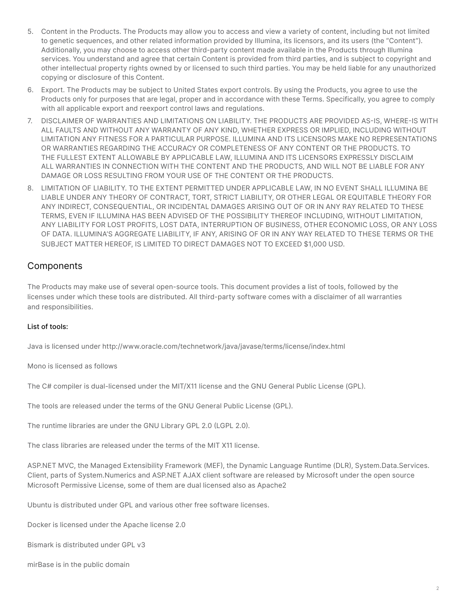- 5. Content in the Products. The Products may allow you to access and view a variety of content, including but not limited to genetic sequences, and other related information provided by Illumina, its licensors, and its users (the "Content"). Additionally, you may choose to access other third-party content made available in the Products through Illumina services. You understand and agree that certain Content is provided from third parties, and is subject to copyright and other intellectual property rights owned by or licensed to such third parties. You may be held liable for any unauthorized copying or disclosure of this Content.
- 6. Export. The Products may be subject to United States export controls. By using the Products, you agree to use the Products only for purposes that are legal, proper and in accordance with these Terms. Specifically, you agree to comply with all applicable export and reexport control laws and regulations.
- 7. DISCLAIMER OF WARRANTIES AND LIMITATIONS ON LIABILITY. THE PRODUCTS ARE PROVIDED AS-IS, WHERE-IS WITH ALL FAULTS AND WITHOUT ANY WARRANTY OF ANY KIND, WHETHER EXPRESS OR IMPLIED, INCLUDING WITHOUT LIMITATION ANY FITNESS FOR A PARTICULAR PURPOSE. ILLUMINA AND ITS LICENSORS MAKE NO REPRESENTATIONS OR WARRANTIES REGARDING THE ACCURACY OR COMPLETENESS OF ANY CONTENT OR THE PRODUCTS. TO THE FULLEST EXTENT ALLOWABLE BY APPLICABLE LAW, ILLUMINA AND ITS LICENSORS EXPRESSLY DISCLAIM ALL WARRANTIES IN CONNECTION WITH THE CONTENT AND THE PRODUCTS, AND WILL NOT BE LIABLE FOR ANY DAMAGE OR LOSS RESULTING FROM YOUR USE OF THE CONTENT OR THE PRODUCTS.
- 8. LIMITATION OF LIABILITY. TO THE EXTENT PERMITTED UNDER APPLICABLE LAW, IN NO EVENT SHALL ILLUMINA BE LIABLE UNDER ANY THEORY OF CONTRACT, TORT, STRICT LIABILITY, OR OTHER LEGAL OR EQUITABLE THEORY FOR ANY INDIRECT, CONSEQUENTIAL, OR INCIDENTAL DAMAGES ARISING OUT OF OR IN ANY RAY RELATED TO THESE TERMS, EVEN IF ILLUMINA HAS BEEN ADVISED OF THE POSSIBILITY THEREOF INCLUDING, WITHOUT LIMITATION, ANY LIABILITY FOR LOST PROFITS, LOST DATA, INTERRUPTION OF BUSINESS, OTHER ECONOMIC LOSS, OR ANY LOSS OF DATA. ILLUMINA'S AGGREGATE LIABILITY, IF ANY, ARISING OF OR IN ANY WAY RELATED TO THESE TERMS OR THE SUBJECT MATTER HEREOF, IS LIMITED TO DIRECT DAMAGES NOT TO EXCEED \$1,000 USD.

#### **Components**

The Products may make use of several open-source tools. This document provides a list of tools, followed by the licenses under which these tools are distributed. All third-party software comes with a disclaimer of all warranties and responsibilities.

#### List of tools:

Java is licensed under<http://www.oracle.com/technetwork/java/javase/terms/license/index.html>

Mono is licensed as follows

The C# compiler is dual-licensed under the MIT/X11 license and the GNU General Public License (GPL).

The tools are released under the terms of the GNU General Public License (GPL).

The runtime libraries are under the GNU Library GPL 2.0 (LGPL 2.0).

The class libraries are released under the terms of the MIT X11 license.

ASP.NET MVC, the Managed Extensibility Framework (MEF), the Dynamic Language Runtime (DLR), System.Data.Services. Client, parts of System.Numerics and ASP.NET AJAX client software are released by Microsoft under the open source Microsoft Permissive License, some of them are dual licensed also as Apache2

Ubuntu is distributed under GPL and various other free software licenses.

Docker is licensed under the Apache license 2.0

Bismark is distributed under GPL v3

mirBase is in the public domain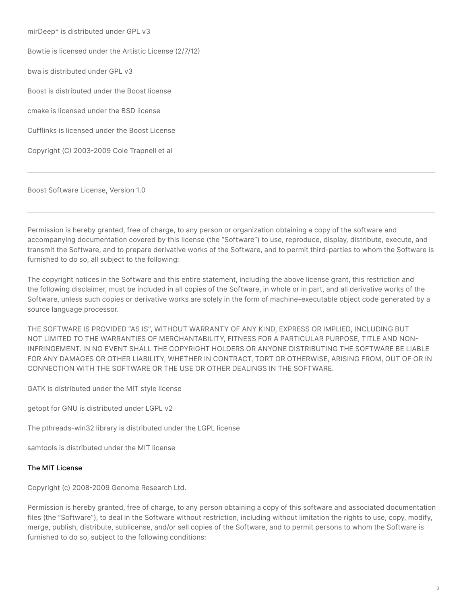mirDeep\* is distributed under GPL v3 Bowtie is licensed under the Artistic License (2/7/12) bwa is distributed under GPL v3 Boost is distributed under the Boost license cmake is licensed under the BSD license Cufflinks is licensed under the Boost License Copyright (C) 2003-2009 Cole Trapnell et al

Boost Software License, Version 1.0

Permission is hereby granted, free of charge, to any person or organization obtaining a copy of the software and accompanying documentation covered by this license (the "Software") to use, reproduce, display, distribute, execute, and transmit the Software, and to prepare derivative works of the Software, and to permit third-parties to whom the Software is furnished to do so, all subject to the following:

The copyright notices in the Software and this entire statement, including the above license grant, this restriction and the following disclaimer, must be included in all copies of the Software, in whole or in part, and all derivative works of the Software, unless such copies or derivative works are solely in the form of machine-executable object code generated by a source language processor.

THE SOFTWARE IS PROVIDED "AS IS", WITHOUT WARRANTY OF ANY KIND, EXPRESS OR IMPLIED, INCLUDING BUT NOT LIMITED TO THE WARRANTIES OF MERCHANTABILITY, FITNESS FOR A PARTICULAR PURPOSE, TITLE AND NON-INFRINGEMENT. IN NO EVENT SHALL THE COPYRIGHT HOLDERS OR ANYONE DISTRIBUTING THE SOFTWARE BE LIABLE FOR ANY DAMAGES OR OTHER LIABILITY, WHETHER IN CONTRACT, TORT OR OTHERWISE, ARISING FROM, OUT OF OR IN CONNECTION WITH THE SOFTWARE OR THE USE OR OTHER DEALINGS IN THE SOFTWARE.

GATK is distributed under the MIT style license

getopt for GNU is distributed under LGPL v2

The pthreads-win32 library is distributed under the LGPL license

samtools is distributed under the MIT license

#### The MIT License

Copyright (c) 2008-2009 Genome Research Ltd.

Permission is hereby granted, free of charge, to any person obtaining a copy of this software and associated documentation files (the "Software"), to deal in the Software without restriction, including without limitation the rights to use, copy, modify, merge, publish, distribute, sublicense, and/or sell copies of the Software, and to permit persons to whom the Software is furnished to do so, subject to the following conditions: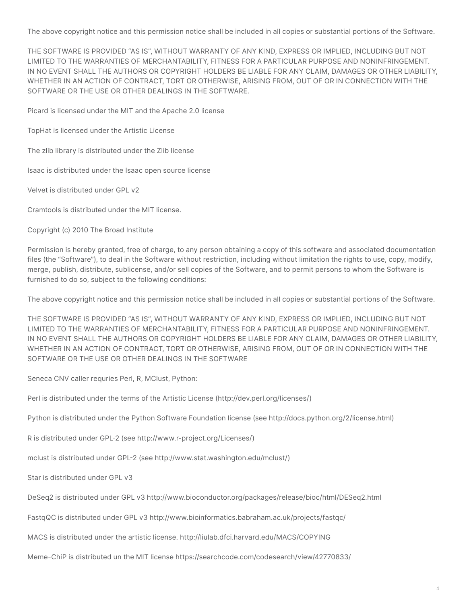The above copyright notice and this permission notice shall be included in all copies or substantial portions of the Software.

THE SOFTWARE IS PROVIDED "AS IS", WITHOUT WARRANTY OF ANY KIND, EXPRESS OR IMPLIED, INCLUDING BUT NOT LIMITED TO THE WARRANTIES OF MERCHANTABILITY, FITNESS FOR A PARTICULAR PURPOSE AND NONINFRINGEMENT. IN NO EVENT SHALL THE AUTHORS OR COPYRIGHT HOLDERS BE LIABLE FOR ANY CLAIM, DAMAGES OR OTHER LIABILITY, WHETHER IN AN ACTION OF CONTRACT, TORT OR OTHERWISE, ARISING FROM, OUT OF OR IN CONNECTION WITH THE SOFTWARE OR THE USE OR OTHER DEALINGS IN THE SOFTWARE.

Picard is licensed under the MIT and the Apache 2.0 license

TopHat is licensed under the Artistic License

The zlib library is distributed under the Zlib license

Isaac is distributed under the Isaac open source license

Velvet is distributed under GPL v2

Cramtools is distributed under the MIT license.

Copyright (c) 2010 The Broad Institute

Permission is hereby granted, free of charge, to any person obtaining a copy of this software and associated documentation files (the "Software"), to deal in the Software without restriction, including without limitation the rights to use, copy, modify, merge, publish, distribute, sublicense, and/or sell copies of the Software, and to permit persons to whom the Software is furnished to do so, subject to the following conditions:

The above copyright notice and this permission notice shall be included in all copies or substantial portions of the Software.

THE SOFTWARE IS PROVIDED "AS IS", WITHOUT WARRANTY OF ANY KIND, EXPRESS OR IMPLIED, INCLUDING BUT NOT LIMITED TO THE WARRANTIES OF MERCHANTABILITY, FITNESS FOR A PARTICULAR PURPOSE AND NONINFRINGEMENT. IN NO EVENT SHALL THE AUTHORS OR COPYRIGHT HOLDERS BE LIABLE FOR ANY CLAIM, DAMAGES OR OTHER LIABILITY, WHETHER IN AN ACTION OF CONTRACT, TORT OR OTHERWISE, ARISING FROM, OUT OF OR IN CONNECTION WITH THE SOFTWARE OR THE USE OR OTHER DEALINGS IN THE SOFTWARE

Seneca CNV caller requries Perl, R, MClust, Python:

Perl is distributed under the terms of the Artistic License ([http://dev.perl.org/licenses/\)](http://dev.perl.org/licenses/)

Python is distributed under the Python Software Foundation license (see [http://docs.python.org/2/license.html\)](http://docs.python.org/2/license.html)

R is distributed under GPL-2 (see [http://www.r-project.org/Licenses/\)](http://www.r-project.org/Licenses/)

mclust is distributed under GPL-2 (see <http://www.stat.washington.edu/mclust/>)

Star is distributed under GPL v3

DeSeq2 is distributed under GPL v3 <http://www.bioconductor.org/packages/release/bioc/html/DESeq2.html>

FastqQC is distributed under GPL v3<http://www.bioinformatics.babraham.ac.uk/projects/fastqc/>

MACS is distributed under the artistic license.<http://liulab.dfci.harvard.edu/MACS/COPYING>

Meme-ChiP is distributed un the MIT license [https://searchcode.com/codesearch/view/42770833/](https://searchcode.com/codesearch/view/42770833/
)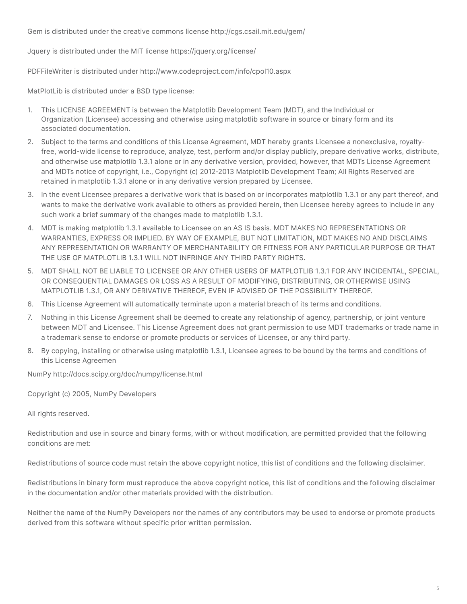Gem is distributed under the creative commons license [http://cgs.csail.mit.edu/gem/](http://cgs.csail.mit.edu/gem/
)

Jquery is distributed under the MIT license [https://jquery.org/license/](https://jquery.org/license/
)

PDFFileWriter is distributed under [http://www.codeproject.com/info/cpol10.aspx](http://www.codeproject.com/info/cpol10.aspx
)

MatPlotLib is distributed under a BSD type license:

- 1. This LICENSE AGREEMENT is between the Matplotlib Development Team (MDT), and the Individual or Organization (Licensee) accessing and otherwise using matplotlib software in source or binary form and its associated documentation.
- 2. Subject to the terms and conditions of this License Agreement, MDT hereby grants Licensee a nonexclusive, royaltyfree, world-wide license to reproduce, analyze, test, perform and/or display publicly, prepare derivative works, distribute, and otherwise use matplotlib 1.3.1 alone or in any derivative version, provided, however, that MDTs License Agreement and MDTs notice of copyright, i.e., Copyright (c) 2012-2013 Matplotlib Development Team; All Rights Reserved are retained in matplotlib 1.3.1 alone or in any derivative version prepared by Licensee.
- 3. In the event Licensee prepares a derivative work that is based on or incorporates matplotlib 1.3.1 or any part thereof, and wants to make the derivative work available to others as provided herein, then Licensee hereby agrees to include in any such work a brief summary of the changes made to matplotlib 1.3.1.
- 4. MDT is making matplotlib 1.3.1 available to Licensee on an AS IS basis. MDT MAKES NO REPRESENTATIONS OR WARRANTIES, EXPRESS OR IMPLIED. BY WAY OF EXAMPLE, BUT NOT LIMITATION, MDT MAKES NO AND DISCLAIMS ANY REPRESENTATION OR WARRANTY OF MERCHANTABILITY OR FITNESS FOR ANY PARTICULAR PURPOSE OR THAT THE USE OF MATPLOTLIB 1.3.1 WILL NOT INFRINGE ANY THIRD PARTY RIGHTS.
- 5. MDT SHALL NOT BE LIABLE TO LICENSEE OR ANY OTHER USERS OF MATPLOTLIB 1.3.1 FOR ANY INCIDENTAL, SPECIAL, OR CONSEQUENTIAL DAMAGES OR LOSS AS A RESULT OF MODIFYING, DISTRIBUTING, OR OTHERWISE USING MATPLOTLIB 1.3.1, OR ANY DERIVATIVE THEREOF, EVEN IF ADVISED OF THE POSSIBILITY THEREOF.
- 6. This License Agreement will automatically terminate upon a material breach of its terms and conditions.
- 7. Nothing in this License Agreement shall be deemed to create any relationship of agency, partnership, or joint venture between MDT and Licensee. This License Agreement does not grant permission to use MDT trademarks or trade name in a trademark sense to endorse or promote products or services of Licensee, or any third party.
- 8. By copying, installing or otherwise using matplotlib 1.3.1, Licensee agrees to be bound by the terms and conditions of this License Agreemen

NumPy <http://docs.scipy.org/doc/numpy/license.html>

Copyright (c) 2005, NumPy Developers

All rights reserved.

Redistribution and use in source and binary forms, with or without modification, are permitted provided that the following conditions are met:

Redistributions of source code must retain the above copyright notice, this list of conditions and the following disclaimer.

Redistributions in binary form must reproduce the above copyright notice, this list of conditions and the following disclaimer in the documentation and/or other materials provided with the distribution.

Neither the name of the NumPy Developers nor the names of any contributors may be used to endorse or promote products derived from this software without specific prior written permission.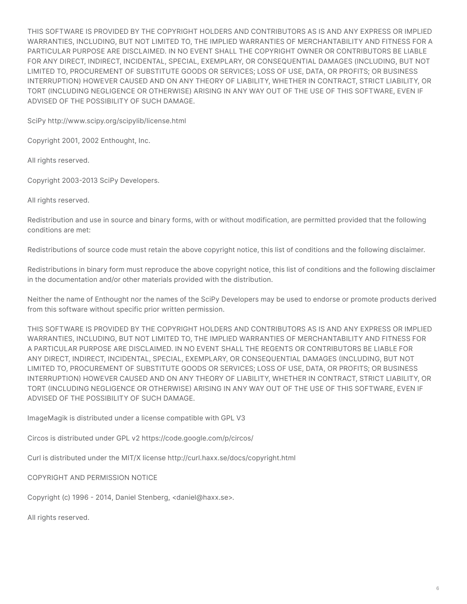THIS SOFTWARE IS PROVIDED BY THE COPYRIGHT HOLDERS AND CONTRIBUTORS AS IS AND ANY EXPRESS OR IMPLIED WARRANTIES, INCLUDING, BUT NOT LIMITED TO, THE IMPLIED WARRANTIES OF MERCHANTABILITY AND FITNESS FOR A PARTICULAR PURPOSE ARE DISCLAIMED. IN NO EVENT SHALL THE COPYRIGHT OWNER OR CONTRIBUTORS BE LIABLE FOR ANY DIRECT, INDIRECT, INCIDENTAL, SPECIAL, EXEMPLARY, OR CONSEQUENTIAL DAMAGES (INCLUDING, BUT NOT LIMITED TO, PROCUREMENT OF SUBSTITUTE GOODS OR SERVICES; LOSS OF USE, DATA, OR PROFITS; OR BUSINESS INTERRUPTION) HOWEVER CAUSED AND ON ANY THEORY OF LIABILITY, WHETHER IN CONTRACT, STRICT LIABILITY, OR TORT (INCLUDING NEGLIGENCE OR OTHERWISE) ARISING IN ANY WAY OUT OF THE USE OF THIS SOFTWARE, EVEN IF ADVISED OF THE POSSIBILITY OF SUCH DAMAGE.

SciPy <http://www.scipy.org/scipylib/license.html>

Copyright 2001, 2002 Enthought, Inc.

All rights reserved.

Copyright 2003-2013 SciPy Developers.

All rights reserved.

Redistribution and use in source and binary forms, with or without modification, are permitted provided that the following conditions are met:

Redistributions of source code must retain the above copyright notice, this list of conditions and the following disclaimer.

Redistributions in binary form must reproduce the above copyright notice, this list of conditions and the following disclaimer in the documentation and/or other materials provided with the distribution.

Neither the name of Enthought nor the names of the SciPy Developers may be used to endorse or promote products derived from this software without specific prior written permission.

THIS SOFTWARE IS PROVIDED BY THE COPYRIGHT HOLDERS AND CONTRIBUTORS AS IS AND ANY EXPRESS OR IMPLIED WARRANTIES, INCLUDING, BUT NOT LIMITED TO, THE IMPLIED WARRANTIES OF MERCHANTABILITY AND FITNESS FOR A PARTICULAR PURPOSE ARE DISCLAIMED. IN NO EVENT SHALL THE REGENTS OR CONTRIBUTORS BE LIABLE FOR ANY DIRECT, INDIRECT, INCIDENTAL, SPECIAL, EXEMPLARY, OR CONSEQUENTIAL DAMAGES (INCLUDING, BUT NOT LIMITED TO, PROCUREMENT OF SUBSTITUTE GOODS OR SERVICES; LOSS OF USE, DATA, OR PROFITS; OR BUSINESS INTERRUPTION) HOWEVER CAUSED AND ON ANY THEORY OF LIABILITY, WHETHER IN CONTRACT, STRICT LIABILITY, OR TORT (INCLUDING NEGLIGENCE OR OTHERWISE) ARISING IN ANY WAY OUT OF THE USE OF THIS SOFTWARE, EVEN IF ADVISED OF THE POSSIBILITY OF SUCH DAMAGE.

ImageMagik is distributed under a license compatible with GPL V3

Circos is distributed under GPL v2 [https://code.google.com/p/circos/](https://code.google.com/p/circos/
)

Curl is distributed under the MIT/X license [http://curl.haxx.se/docs/copyright.html](http://curl.haxx.se/docs/copyright.html
)

COPYRIGHT AND PERMISSION NOTICE

Copyright (c) 1996 - 2014, Daniel Stenberg, <[daniel@haxx.se](mailto:daniel@haxx.se)>.

All rights reserved.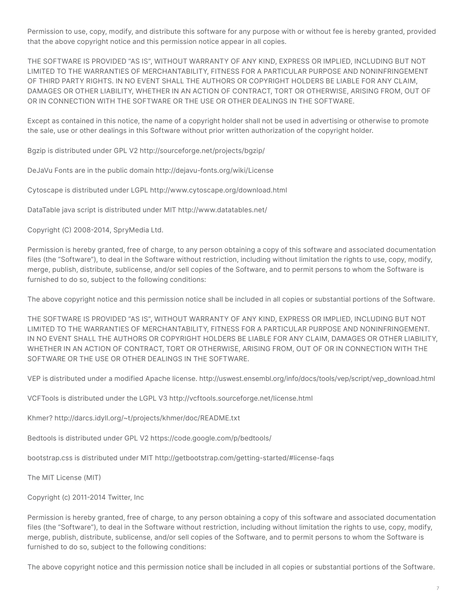Permission to use, copy, modify, and distribute this software for any purpose with or without fee is hereby granted, provided that the above copyright notice and this permission notice appear in all copies.

THE SOFTWARE IS PROVIDED "AS IS", WITHOUT WARRANTY OF ANY KIND, EXPRESS OR IMPLIED, INCLUDING BUT NOT LIMITED TO THE WARRANTIES OF MERCHANTABILITY, FITNESS FOR A PARTICULAR PURPOSE AND NONINFRINGEMENT OF THIRD PARTY RIGHTS. IN NO EVENT SHALL THE AUTHORS OR COPYRIGHT HOLDERS BE LIABLE FOR ANY CLAIM, DAMAGES OR OTHER LIABILITY, WHETHER IN AN ACTION OF CONTRACT, TORT OR OTHERWISE, ARISING FROM, OUT OF OR IN CONNECTION WITH THE SOFTWARE OR THE USE OR OTHER DEALINGS IN THE SOFTWARE.

Except as contained in this notice, the name of a copyright holder shall not be used in advertising or otherwise to promote the sale, use or other dealings in this Software without prior written authorization of the copyright holder.

Bgzip is distributed under GPL V2 [http://sourceforge.net/projects/bgzip/](http://sourceforge.net/projects/bgzip/
)

DeJaVu Fonts are in the public domain<http://dejavu-fonts.org/wiki/License>

Cytoscape is distributed under LGPL <http://www.cytoscape.org/download.html>

DataTable java script is distributed under MIT [http://www.datatables.net/](http://www.datatables.net/
)

Copyright (C) 2008-2014, SpryMedia Ltd.

Permission is hereby granted, free of charge, to any person obtaining a copy of this software and associated documentation files (the "Software"), to deal in the Software without restriction, including without limitation the rights to use, copy, modify, merge, publish, distribute, sublicense, and/or sell copies of the Software, and to permit persons to whom the Software is furnished to do so, subject to the following conditions:

The above copyright notice and this permission notice shall be included in all copies or substantial portions of the Software.

THE SOFTWARE IS PROVIDED "AS IS", WITHOUT WARRANTY OF ANY KIND, EXPRESS OR IMPLIED, INCLUDING BUT NOT LIMITED TO THE WARRANTIES OF MERCHANTABILITY, FITNESS FOR A PARTICULAR PURPOSE AND NONINFRINGEMENT. IN NO EVENT SHALL THE AUTHORS OR COPYRIGHT HOLDERS BE LIABLE FOR ANY CLAIM, DAMAGES OR OTHER LIABILITY, WHETHER IN AN ACTION OF CONTRACT, TORT OR OTHERWISE, ARISING FROM, OUT OF OR IN CONNECTION WITH THE SOFTWARE OR THE USE OR OTHER DEALINGS IN THE SOFTWARE.

VEP is distributed under a modified Apache license. [http://uswest.ensembl.org/info/docs/tools/vep/script/vep\\_download.html](http://uswest.ensembl.org/info/docs/tools/vep/script/vep_download.html
)

VCFTools is distributed under the LGPL V3<http://vcftools.sourceforge.net/license.html>

Khmer? http://darcs.idyll.org/~t/projects/khmer/doc/README.txt

Bedtools is distributed under GPL V2 https://code.google.com/p/bedtools/

bootstrap.css is distributed under MIT http://getbootstrap.com/getting-started/#license-faqs

The MIT License (MIT)

Copyright (c) 2011-2014 Twitter, Inc

Permission is hereby granted, free of charge, to any person obtaining a copy of this software and associated documentation files (the "Software"), to deal in the Software without restriction, including without limitation the rights to use, copy, modify, merge, publish, distribute, sublicense, and/or sell copies of the Software, and to permit persons to whom the Software is furnished to do so, subject to the following conditions:

The above copyright notice and this permission notice shall be included in all copies or substantial portions of the Software.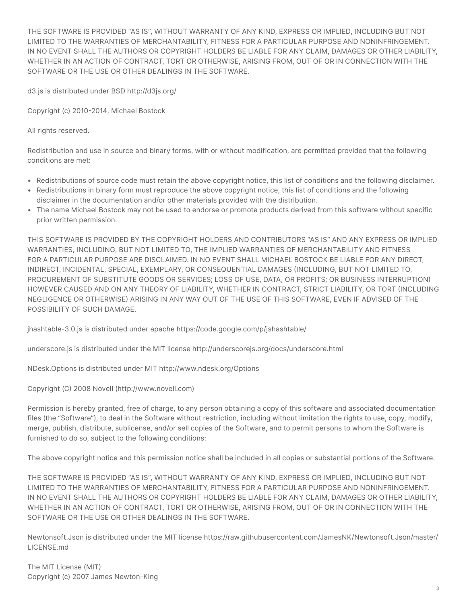THE SOFTWARE IS PROVIDED "AS IS", WITHOUT WARRANTY OF ANY KIND, EXPRESS OR IMPLIED, INCLUDING BUT NOT LIMITED TO THE WARRANTIES OF MERCHANTABILITY, FITNESS FOR A PARTICULAR PURPOSE AND NONINFRINGEMENT. IN NO EVENT SHALL THE AUTHORS OR COPYRIGHT HOLDERS BE LIABLE FOR ANY CLAIM, DAMAGES OR OTHER LIABILITY, WHETHER IN AN ACTION OF CONTRACT, TORT OR OTHERWISE, ARISING FROM, OUT OF OR IN CONNECTION WITH THE SOFTWARE OR THE USE OR OTHER DEALINGS IN THE SOFTWARE.

d3.js is distributed under BSD http://d3js.org/

Copyright (c) 2010-2014, Michael Bostock

All rights reserved.

Redistribution and use in source and binary forms, with or without modification, are permitted provided that the following conditions are met:

- Redistributions of source code must retain the above copyright notice, this list of conditions and the following disclaimer.
- Redistributions in binary form must reproduce the above copyright notice, this list of conditions and the following disclaimer in the documentation and/or other materials provided with the distribution.
- The name Michael Bostock may not be used to endorse or promote products derived from this software without specific prior written permission.

THIS SOFTWARE IS PROVIDED BY THE COPYRIGHT HOLDERS AND CONTRIBUTORS "AS IS" AND ANY EXPRESS OR IMPLIED WARRANTIES, INCLUDING, BUT NOT LIMITED TO, THE IMPLIED WARRANTIES OF MERCHANTABILITY AND FITNESS FOR A PARTICULAR PURPOSE ARE DISCLAIMED. IN NO EVENT SHALL MICHAEL BOSTOCK BE LIABLE FOR ANY DIRECT, INDIRECT, INCIDENTAL, SPECIAL, EXEMPLARY, OR CONSEQUENTIAL DAMAGES (INCLUDING, BUT NOT LIMITED TO, PROCUREMENT OF SUBSTITUTE GOODS OR SERVICES; LOSS OF USE, DATA, OR PROFITS; OR BUSINESS INTERRUPTION) HOWEVER CAUSED AND ON ANY THEORY OF LIABILITY, WHETHER IN CONTRACT, STRICT LIABILITY, OR TORT (INCLUDING NEGLIGENCE OR OTHERWISE) ARISING IN ANY WAY OUT OF THE USE OF THIS SOFTWARE, EVEN IF ADVISED OF THE POSSIBILITY OF SUCH DAMAGE.

jhashtable-3.0.js is distributed under apache https://code.google.com/p/jshashtable/

underscore.js is distributed under the MIT license http://underscorejs.org/docs/underscore.html

NDesk.Options is distributed under MIT http://www.ndesk.org/Options

Copyright (C) 2008 Novell (http://www.novell.com)

Permission is hereby granted, free of charge, to any person obtaining a copy of this software and associated documentation files (the "Software"), to deal in the Software without restriction, including without limitation the rights to use, copy, modify, merge, publish, distribute, sublicense, and/or sell copies of the Software, and to permit persons to whom the Software is furnished to do so, subject to the following conditions:

The above copyright notice and this permission notice shall be included in all copies or substantial portions of the Software.

THE SOFTWARE IS PROVIDED "AS IS", WITHOUT WARRANTY OF ANY KIND, EXPRESS OR IMPLIED, INCLUDING BUT NOT LIMITED TO THE WARRANTIES OF MERCHANTABILITY, FITNESS FOR A PARTICULAR PURPOSE AND NONINFRINGEMENT. IN NO EVENT SHALL THE AUTHORS OR COPYRIGHT HOLDERS BE LIABLE FOR ANY CLAIM, DAMAGES OR OTHER LIABILITY, WHETHER IN AN ACTION OF CONTRACT, TORT OR OTHERWISE, ARISING FROM, OUT OF OR IN CONNECTION WITH THE SOFTWARE OR THE USE OR OTHER DEALINGS IN THE SOFTWARE.

Newtonsoft.Json is distributed under the MIT license https://raw.githubusercontent.com/JamesNK/Newtonsoft.Json/master/ LICENSE.md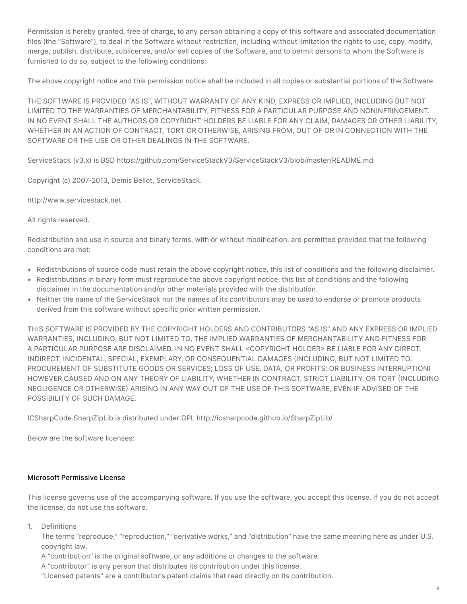Permission is hereby granted, free of charge, to any person obtaining a copy of this software and associated documentation files (the "Software"), to deal in the Software without restriction, including without limitation the rights to use, copy, modify, merge, publish, distribute, sublicense, and/or sell copies of the Software, and to permit persons to whom the Software is furnished to do so, subject to the following conditions:

The above copyright notice and this permission notice shall be included in all copies or substantial portions of the Software.

THE SOFTWARE IS PROVIDED "AS IS", WITHOUT WARRANTY OF ANY KIND, EXPRESS OR IMPLIED, INCLUDING BUT NOT LIMITED TO THE WARRANTIES OF MERCHANTABILITY, FITNESS FOR A PARTICULAR PURPOSE AND NONINFRINGEMENT. IN NO EVENT SHALL THE AUTHORS OR COPYRIGHT HOLDERS BE LIABLE FOR ANY CLAIM, DAMAGES OR OTHER LIABILITY, WHETHER IN AN ACTION OF CONTRACT, TORT OR OTHERWISE, ARISING FROM, OUT OF OR IN CONNECTION WITH THE SOFTWARE OR THE USE OR OTHER DEALINGS IN THE SOFTWARE.

ServiceStack (v3.x) is BSD https://github.com/ServiceStackV3/ServiceStackV3/blob/master/README.md

Copyright (c) 2007-2013, Demis Bellot, ServiceStack.

http://www.servicestack.net

All rights reserved.

Redistribution and use in source and binary forms, with or without modification, are permitted provided that the following conditions are met:

- Redistributions of source code must retain the above copyright notice, this list of conditions and the following disclaimer.
- Redistributions in binary form must reproduce the above copyright notice, this list of conditions and the following disclaimer in the documentation and/or other materials provided with the distribution.
- Neither the name of the ServiceStack nor the names of its contributors may be used to endorse or promote products derived from this software without specific prior written permission.

THIS SOFTWARE IS PROVIDED BY THE COPYRIGHT HOLDERS AND CONTRIBUTORS "AS IS" AND ANY EXPRESS OR IMPLIED WARRANTIES, INCLUDING, BUT NOT LIMITED TO, THE IMPLIED WARRANTIES OF MERCHANTABILITY AND FITNESS FOR A PARTICULAR PURPOSE ARE DISCLAIMED. IN NO EVENT SHALL <COPYRIGHT HOLDER> BE LIABLE FOR ANY DIRECT, INDIRECT, INCIDENTAL, SPECIAL, EXEMPLARY, OR CONSEQUENTIAL DAMAGES (INCLUDING, BUT NOT LIMITED TO, PROCUREMENT OF SUBSTITUTE GOODS OR SERVICES; LOSS OF USE, DATA, OR PROFITS; OR BUSINESS INTERRUPTION) HOWEVER CAUSED AND ON ANY THEORY OF LIABILITY, WHETHER IN CONTRACT, STRICT LIABILITY, OR TORT (INCLUDING NEGLIGENCE OR OTHERWISE) ARISING IN ANY WAY OUT OF THE USE OF THIS SOFTWARE, EVEN IF ADVISED OF THE POSSIBILITY OF SUCH DAMAGE.

ICSharpCode.SharpZipLib is distributed under GPL http://icsharpcode.github.io/SharpZipLib/

Below are the software licenses:

#### Microsoft Permissive License

This license governs use of the accompanying software. If you use the software, you accept this license. If you do not accept the license, do not use the software.

1. Definitions

The terms "reproduce," "reproduction," "derivative works," and "distribution" have the same meaning here as under U.S. copyright law.

A "contribution" is the original software, or any additions or changes to the software.

A "contributor" is any person that distributes its contribution under this license.

"Licensed patents" are a contributor's patent claims that read directly on its contribution.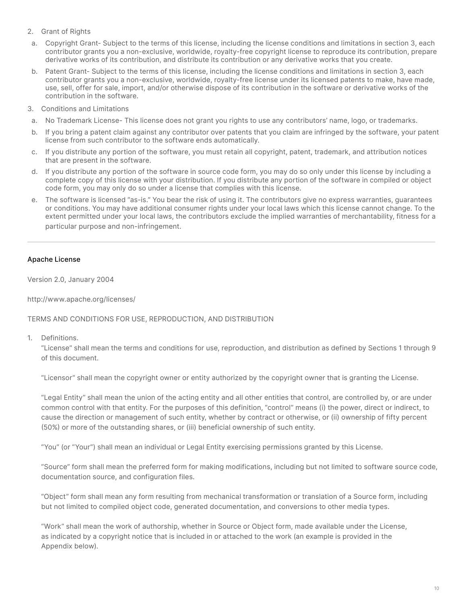- 2. Grant of Rights
- a. Copyright Grant- Subject to the terms of this license, including the license conditions and limitations in section 3, each contributor grants you a non-exclusive, worldwide, royalty-free copyright license to reproduce its contribution, prepare derivative works of its contribution, and distribute its contribution or any derivative works that you create.
- b. Patent Grant- Subject to the terms of this license, including the license conditions and limitations in section 3, each contributor grants you a non-exclusive, worldwide, royalty-free license under its licensed patents to make, have made, use, sell, offer for sale, import, and/or otherwise dispose of its contribution in the software or derivative works of the contribution in the software.
- 3. Conditions and Limitations
- a. No Trademark License- This license does not grant you rights to use any contributors' name, logo, or trademarks.
- b. If you bring a patent claim against any contributor over patents that you claim are infringed by the software, your patent license from such contributor to the software ends automatically.
- c. If you distribute any portion of the software, you must retain all copyright, patent, trademark, and attribution notices that are present in the software.
- d. If you distribute any portion of the software in source code form, you may do so only under this license by including a complete copy of this license with your distribution. If you distribute any portion of the software in compiled or object code form, you may only do so under a license that complies with this license.
- e. The software is licensed "as-is." You bear the risk of using it. The contributors give no express warranties, guarantees or conditions. You may have additional consumer rights under your local laws which this license cannot change. To the extent permitted under your local laws, the contributors exclude the implied warranties of merchantability, fitness for a particular purpose and non-infringement.

#### Apache License

Version 2.0, January 2004

http://www.apache.org/licenses/

TERMS AND CONDITIONS FOR USE, REPRODUCTION, AND DISTRIBUTION

1. Definitions.

"License" shall mean the terms and conditions for use, reproduction, and distribution as defined by Sections 1 through 9 of this document.

"Licensor" shall mean the copyright owner or entity authorized by the copyright owner that is granting the License.

"Legal Entity" shall mean the union of the acting entity and all other entities that control, are controlled by, or are under common control with that entity. For the purposes of this definition, "control" means (i) the power, direct or indirect, to cause the direction or management of such entity, whether by contract or otherwise, or (ii) ownership of fifty percent (50%) or more of the outstanding shares, or (iii) beneficial ownership of such entity.

"You" (or "Your") shall mean an individual or Legal Entity exercising permissions granted by this License.

"Source" form shall mean the preferred form for making modifications, including but not limited to software source code, documentation source, and configuration files.

"Object" form shall mean any form resulting from mechanical transformation or translation of a Source form, including but not limited to compiled object code, generated documentation, and conversions to other media types.

"Work" shall mean the work of authorship, whether in Source or Object form, made available under the License, as indicated by a copyright notice that is included in or attached to the work (an example is provided in the Appendix below).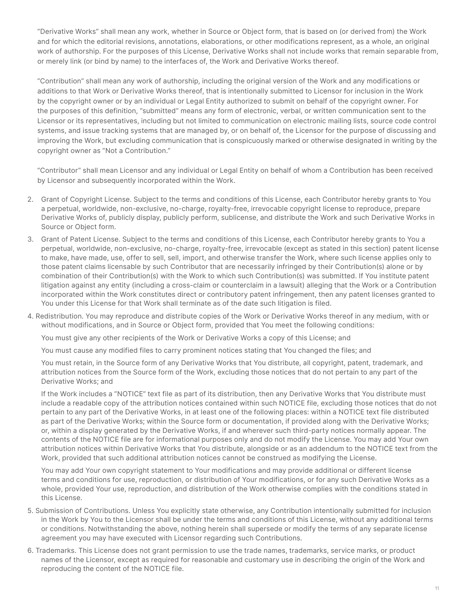"Derivative Works" shall mean any work, whether in Source or Object form, that is based on (or derived from) the Work and for which the editorial revisions, annotations, elaborations, or other modifications represent, as a whole, an original work of authorship. For the purposes of this License, Derivative Works shall not include works that remain separable from, or merely link (or bind by name) to the interfaces of, the Work and Derivative Works thereof.

 "Contribution" shall mean any work of authorship, including the original version of the Work and any modifications or additions to that Work or Derivative Works thereof, that is intentionally submitted to Licensor for inclusion in the Work by the copyright owner or by an individual or Legal Entity authorized to submit on behalf of the copyright owner. For the purposes of this definition, "submitted" means any form of electronic, verbal, or written communication sent to the Licensor or its representatives, including but not limited to communication on electronic mailing lists, source code control systems, and issue tracking systems that are managed by, or on behalf of, the Licensor for the purpose of discussing and improving the Work, but excluding communication that is conspicuously marked or otherwise designated in writing by the copyright owner as "Not a Contribution."

 "Contributor" shall mean Licensor and any individual or Legal Entity on behalf of whom a Contribution has been received by Licensor and subsequently incorporated within the Work.

- 2. Grant of Copyright License. Subject to the terms and conditions of this License, each Contributor hereby grants to You a perpetual, worldwide, non-exclusive, no-charge, royalty-free, irrevocable copyright license to reproduce, prepare Derivative Works of, publicly display, publicly perform, sublicense, and distribute the Work and such Derivative Works in Source or Object form.
- 3. Grant of Patent License. Subject to the terms and conditions of this License, each Contributor hereby grants to You a perpetual, worldwide, non-exclusive, no-charge, royalty-free, irrevocable (except as stated in this section) patent license to make, have made, use, offer to sell, sell, import, and otherwise transfer the Work, where such license applies only to those patent claims licensable by such Contributor that are necessarily infringed by their Contribution(s) alone or by combination of their Contribution(s) with the Work to which such Contribution(s) was submitted. If You institute patent litigation against any entity (including a cross-claim or counterclaim in a lawsuit) alleging that the Work or a Contribution incorporated within the Work constitutes direct or contributory patent infringement, then any patent licenses granted to You under this License for that Work shall terminate as of the date such litigation is filed.
- 4. Redistribution. You may reproduce and distribute copies of the Work or Derivative Works thereof in any medium, with or without modifications, and in Source or Object form, provided that You meet the following conditions:

You must give any other recipients of the Work or Derivative Works a copy of this License; and

You must cause any modified files to carry prominent notices stating that You changed the files; and

You must retain, in the Source form of any Derivative Works that You distribute, all copyright, patent, trademark, and attribution notices from the Source form of the Work, excluding those notices that do not pertain to any part of the Derivative Works; and

If the Work includes a "NOTICE" text file as part of its distribution, then any Derivative Works that You distribute must include a readable copy of the attribution notices contained within such NOTICE file, excluding those notices that do not pertain to any part of the Derivative Works, in at least one of the following places: within a NOTICE text file distributed as part of the Derivative Works; within the Source form or documentation, if provided along with the Derivative Works; or, within a display generated by the Derivative Works, if and wherever such third-party notices normally appear. The contents of the NOTICE file are for informational purposes only and do not modify the License. You may add Your own attribution notices within Derivative Works that You distribute, alongside or as an addendum to the NOTICE text from the Work, provided that such additional attribution notices cannot be construed as modifying the License.

You may add Your own copyright statement to Your modifications and may provide additional or different license terms and conditions for use, reproduction, or distribution of Your modifications, or for any such Derivative Works as a whole, provided Your use, reproduction, and distribution of the Work otherwise complies with the conditions stated in this License.

- 5. Submission of Contributions. Unless You explicitly state otherwise, any Contribution intentionally submitted for inclusion in the Work by You to the Licensor shall be under the terms and conditions of this License, without any additional terms or conditions. Notwithstanding the above, nothing herein shall supersede or modify the terms of any separate license agreement you may have executed with Licensor regarding such Contributions.
- 6. Trademarks. This License does not grant permission to use the trade names, trademarks, service marks, or product names of the Licensor, except as required for reasonable and customary use in describing the origin of the Work and reproducing the content of the NOTICE file.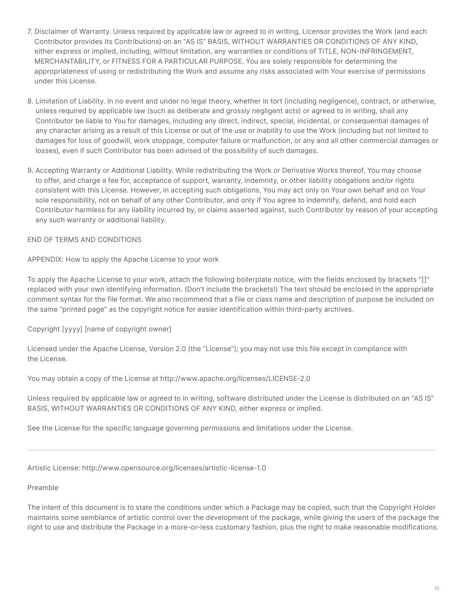- 7. Disclaimer of Warranty. Unless required by applicable law or agreed to in writing, Licensor provides the Work (and each Contributor provides its Contributions) on an "AS IS" BASIS, WITHOUT WARRANTIES OR CONDITIONS OF ANY KIND, either express or implied, including, without limitation, any warranties or conditions of TITLE, NON-INFRINGEMENT, MERCHANTABILITY, or FITNESS FOR A PARTICULAR PURPOSE. You are solely responsible for determining the appropriateness of using or redistributing the Work and assume any risks associated with Your exercise of permissions under this License.
- 8. Limitation of Liability. In no event and under no legal theory, whether in tort (including negligence), contract, or otherwise, unless required by applicable law (such as deliberate and grossly negligent acts) or agreed to in writing, shall any Contributor be liable to You for damages, including any direct, indirect, special, incidental, or consequential damages of any character arising as a result of this License or out of the use or inability to use the Work (including but not limited to damages for loss of goodwill, work stoppage, computer failure or malfunction, or any and all other commercial damages or losses), even if such Contributor has been advised of the possibility of such damages.
- 9. Accepting Warranty or Additional Liability. While redistributing the Work or Derivative Works thereof, You may choose to offer, and charge a fee for, acceptance of support, warranty, indemnity, or other liability obligations and/or rights consistent with this License. However, in accepting such obligations, You may act only on Your own behalf and on Your sole responsibility, not on behalf of any other Contributor, and only if You agree to indemnify, defend, and hold each Contributor harmless for any liability incurred by, or claims asserted against, such Contributor by reason of your accepting any such warranty or additional liability.

#### END OF TERMS AND CONDITIONS

APPENDIX: How to apply the Apache License to your work

To apply the Apache License to your work, attach the following boilerplate notice, with the fields enclosed by brackets "[]" replaced with your own identifying information. (Don't include the brackets!) The text should be enclosed in the appropriate comment syntax for the file format. We also recommend that a file or class name and description of purpose be included on the same "printed page" as the copyright notice for easier identification within third-party archives.

#### Copyright [yyyy] [name of copyright owner]

Licensed under the Apache License, Version 2.0 (the "License"); you may not use this file except in compliance with the License.

You may obtain a copy of the License at http://www.apache.org/licenses/LICENSE-2.0

Unless required by applicable law or agreed to in writing, software distributed under the License is distributed on an "AS IS" BASIS, WITHOUT WARRANTIES OR CONDITIONS OF ANY KIND, either express or implied.

See the License for the specific language governing permissions and limitations under the License.

Artistic License: http://www.opensource.org/licenses/artistic-license-1.0

#### Preamble

The intent of this document is to state the conditions under which a Package may be copied, such that the Copyright Holder maintains some semblance of artistic control over the development of the package, while giving the users of the package the right to use and distribute the Package in a more-or-less customary fashion, plus the right to make reasonable modifications.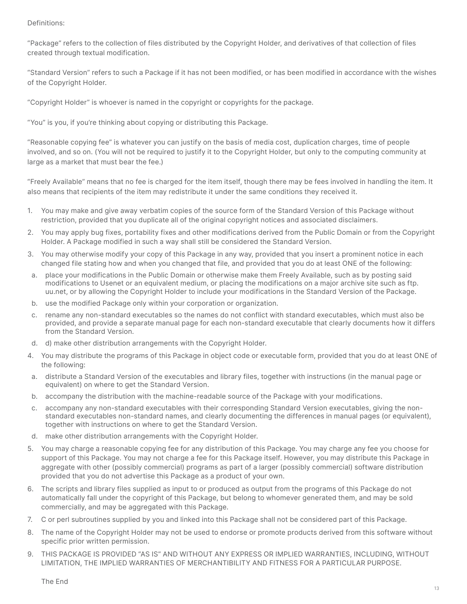#### Definitions:

"Package" refers to the collection of files distributed by the Copyright Holder, and derivatives of that collection of files created through textual modification.

"Standard Version" refers to such a Package if it has not been modified, or has been modified in accordance with the wishes of the Copyright Holder.

"Copyright Holder" is whoever is named in the copyright or copyrights for the package.

"You" is you, if you're thinking about copying or distributing this Package.

"Reasonable copying fee" is whatever you can justify on the basis of media cost, duplication charges, time of people involved, and so on. (You will not be required to justify it to the Copyright Holder, but only to the computing community at large as a market that must bear the fee.)

"Freely Available" means that no fee is charged for the item itself, though there may be fees involved in handling the item. It also means that recipients of the item may redistribute it under the same conditions they received it.

- 1. You may make and give away verbatim copies of the source form of the Standard Version of this Package without restriction, provided that you duplicate all of the original copyright notices and associated disclaimers.
- 2. You may apply bug fixes, portability fixes and other modifications derived from the Public Domain or from the Copyright Holder. A Package modified in such a way shall still be considered the Standard Version.
- 3. You may otherwise modify your copy of this Package in any way, provided that you insert a prominent notice in each changed file stating how and when you changed that file, and provided that you do at least ONE of the following:
- a. place your modifications in the Public Domain or otherwise make them Freely Available, such as by posting said modifications to Usenet or an equivalent medium, or placing the modifications on a major archive site such as ftp. uu.net, or by allowing the Copyright Holder to include your modifications in the Standard Version of the Package.
- b. use the modified Package only within your corporation or organization.
- c. rename any non-standard executables so the names do not conflict with standard executables, which must also be provided, and provide a separate manual page for each non-standard executable that clearly documents how it differs from the Standard Version.
- d. d) make other distribution arrangements with the Copyright Holder.
- 4. You may distribute the programs of this Package in object code or executable form, provided that you do at least ONE of the following:
- a. distribute a Standard Version of the executables and library files, together with instructions (in the manual page or equivalent) on where to get the Standard Version.
- b. accompany the distribution with the machine-readable source of the Package with your modifications.
- c. accompany any non-standard executables with their corresponding Standard Version executables, giving the nonstandard executables non-standard names, and clearly documenting the differences in manual pages (or equivalent), together with instructions on where to get the Standard Version.
- d. make other distribution arrangements with the Copyright Holder.
- 5. You may charge a reasonable copying fee for any distribution of this Package. You may charge any fee you choose for support of this Package. You may not charge a fee for this Package itself. However, you may distribute this Package in aggregate with other (possibly commercial) programs as part of a larger (possibly commercial) software distribution provided that you do not advertise this Package as a product of your own.
- 6. The scripts and library files supplied as input to or produced as output from the programs of this Package do not automatically fall under the copyright of this Package, but belong to whomever generated them, and may be sold commercially, and may be aggregated with this Package.
- 7. C or perl subroutines supplied by you and linked into this Package shall not be considered part of this Package.
- 8. The name of the Copyright Holder may not be used to endorse or promote products derived from this software without specific prior written permission.
- 9. THIS PACKAGE IS PROVIDED "AS IS" AND WITHOUT ANY EXPRESS OR IMPLIED WARRANTIES, INCLUDING, WITHOUT LIMITATION, THE IMPLIED WARRANTIES OF MERCHANTIBILITY AND FITNESS FOR A PARTICULAR PURPOSE.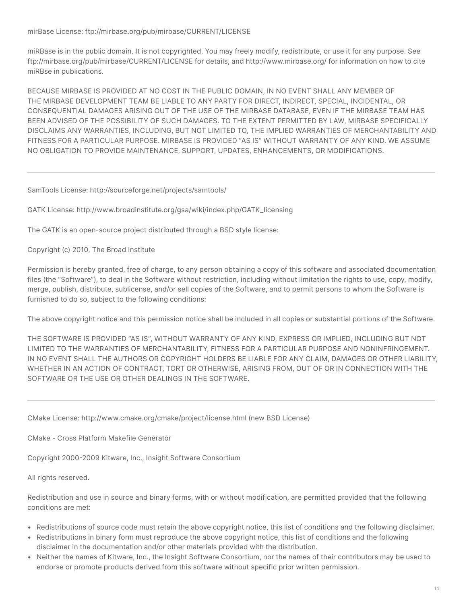mirBase License: ftp://mirbase.org/pub/mirbase/CURRENT/LICENSE

miRBase is in the public domain. It is not copyrighted. You may freely modify, redistribute, or use it for any purpose. See ftp://mirbase.org/pub/mirbase/CURRENT/LICENSE for details, and http://www.mirbase.org/ for information on how to cite miRBse in publications.

BECAUSE MIRBASE IS PROVIDED AT NO COST IN THE PUBLIC DOMAIN, IN NO EVENT SHALL ANY MEMBER OF THE MIRBASE DEVELOPMENT TEAM BE LIABLE TO ANY PARTY FOR DIRECT, INDIRECT, SPECIAL, INCIDENTAL, OR CONSEQUENTIAL DAMAGES ARISING OUT OF THE USE OF THE MIRBASE DATABASE, EVEN IF THE MIRBASE TEAM HAS BEEN ADVISED OF THE POSSIBILITY OF SUCH DAMAGES. TO THE EXTENT PERMITTED BY LAW, MIRBASE SPECIFICALLY DISCLAIMS ANY WARRANTIES, INCLUDING, BUT NOT LIMITED TO, THE IMPLIED WARRANTIES OF MERCHANTABILITY AND FITNESS FOR A PARTICULAR PURPOSE. MIRBASE IS PROVIDED "AS IS" WITHOUT WARRANTY OF ANY KIND. WE ASSUME NO OBLIGATION TO PROVIDE MAINTENANCE, SUPPORT, UPDATES, ENHANCEMENTS, OR MODIFICATIONS.

#### SamTools License: http://sourceforge.net/projects/samtools/

GATK License: http://www.broadinstitute.org/gsa/wiki/index.php/GATK\_licensing

The GATK is an open-source project distributed through a BSD style license:

Copyright (c) 2010, The Broad Institute

Permission is hereby granted, free of charge, to any person obtaining a copy of this software and associated documentation files (the "Software"), to deal in the Software without restriction, including without limitation the rights to use, copy, modify, merge, publish, distribute, sublicense, and/or sell copies of the Software, and to permit persons to whom the Software is furnished to do so, subject to the following conditions:

The above copyright notice and this permission notice shall be included in all copies or substantial portions of the Software.

THE SOFTWARE IS PROVIDED "AS IS", WITHOUT WARRANTY OF ANY KIND, EXPRESS OR IMPLIED, INCLUDING BUT NOT LIMITED TO THE WARRANTIES OF MERCHANTABILITY, FITNESS FOR A PARTICULAR PURPOSE AND NONINFRINGEMENT. IN NO EVENT SHALL THE AUTHORS OR COPYRIGHT HOLDERS BE LIABLE FOR ANY CLAIM, DAMAGES OR OTHER LIABILITY, WHETHER IN AN ACTION OF CONTRACT, TORT OR OTHERWISE, ARISING FROM, OUT OF OR IN CONNECTION WITH THE SOFTWARE OR THE USE OR OTHER DEALINGS IN THE SOFTWARE.

CMake License: http://www.cmake.org/cmake/project/license.html (new BSD License)

CMake - Cross Platform Makefile Generator

Copyright 2000-2009 Kitware, Inc., Insight Software Consortium

All rights reserved.

Redistribution and use in source and binary forms, with or without modification, are permitted provided that the following conditions are met:

- Redistributions of source code must retain the above copyright notice, this list of conditions and the following disclaimer.
- Redistributions in binary form must reproduce the above copyright notice, this list of conditions and the following disclaimer in the documentation and/or other materials provided with the distribution.
- Neither the names of Kitware, Inc., the Insight Software Consortium, nor the names of their contributors may be used to endorse or promote products derived from this software without specific prior written permission.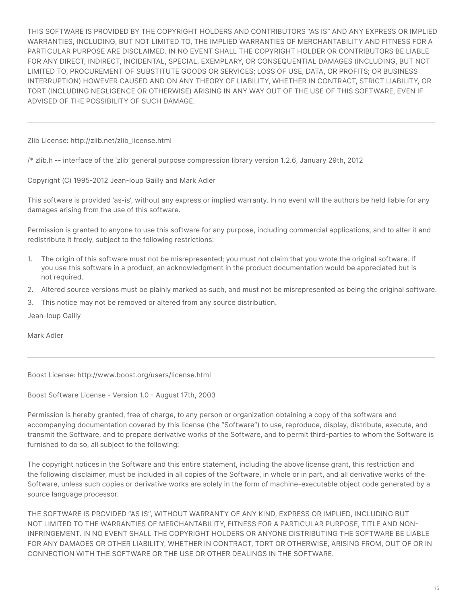THIS SOFTWARE IS PROVIDED BY THE COPYRIGHT HOLDERS AND CONTRIBUTORS "AS IS" AND ANY EXPRESS OR IMPLIED WARRANTIES, INCLUDING, BUT NOT LIMITED TO, THE IMPLIED WARRANTIES OF MERCHANTABILITY AND FITNESS FOR A PARTICULAR PURPOSE ARE DISCLAIMED. IN NO EVENT SHALL THE COPYRIGHT HOLDER OR CONTRIBUTORS BE LIABLE FOR ANY DIRECT, INDIRECT, INCIDENTAL, SPECIAL, EXEMPLARY, OR CONSEQUENTIAL DAMAGES (INCLUDING, BUT NOT LIMITED TO, PROCUREMENT OF SUBSTITUTE GOODS OR SERVICES; LOSS OF USE, DATA, OR PROFITS; OR BUSINESS INTERRUPTION) HOWEVER CAUSED AND ON ANY THEORY OF LIABILITY, WHETHER IN CONTRACT, STRICT LIABILITY, OR TORT (INCLUDING NEGLIGENCE OR OTHERWISE) ARISING IN ANY WAY OUT OF THE USE OF THIS SOFTWARE, EVEN IF ADVISED OF THE POSSIBILITY OF SUCH DAMAGE.

Zlib License: http://zlib.net/zlib\_license.html

/\* zlib.h -- interface of the 'zlib' general purpose compression library version 1.2.6, January 29th, 2012

Copyright (C) 1995-2012 Jean-loup Gailly and Mark Adler

This software is provided 'as-is', without any express or implied warranty. In no event will the authors be held liable for any damages arising from the use of this software.

Permission is granted to anyone to use this software for any purpose, including commercial applications, and to alter it and redistribute it freely, subject to the following restrictions:

- 1. The origin of this software must not be misrepresented; you must not claim that you wrote the original software. If you use this software in a product, an acknowledgment in the product documentation would be appreciated but is not required.
- 2. Altered source versions must be plainly marked as such, and must not be misrepresented as being the original software.
- 3. This notice may not be removed or altered from any source distribution.

Jean-loup Gailly

Mark Adler

Boost License: http://www.boost.org/users/license.html

Boost Software License - Version 1.0 - August 17th, 2003

Permission is hereby granted, free of charge, to any person or organization obtaining a copy of the software and accompanying documentation covered by this license (the "Software") to use, reproduce, display, distribute, execute, and transmit the Software, and to prepare derivative works of the Software, and to permit third-parties to whom the Software is furnished to do so, all subject to the following:

The copyright notices in the Software and this entire statement, including the above license grant, this restriction and the following disclaimer, must be included in all copies of the Software, in whole or in part, and all derivative works of the Software, unless such copies or derivative works are solely in the form of machine-executable object code generated by a source language processor.

THE SOFTWARE IS PROVIDED "AS IS", WITHOUT WARRANTY OF ANY KIND, EXPRESS OR IMPLIED, INCLUDING BUT NOT LIMITED TO THE WARRANTIES OF MERCHANTABILITY, FITNESS FOR A PARTICULAR PURPOSE, TITLE AND NON-INFRINGEMENT. IN NO EVENT SHALL THE COPYRIGHT HOLDERS OR ANYONE DISTRIBUTING THE SOFTWARE BE LIABLE FOR ANY DAMAGES OR OTHER LIABILITY, WHETHER IN CONTRACT, TORT OR OTHERWISE, ARISING FROM, OUT OF OR IN CONNECTION WITH THE SOFTWARE OR THE USE OR OTHER DEALINGS IN THE SOFTWARE.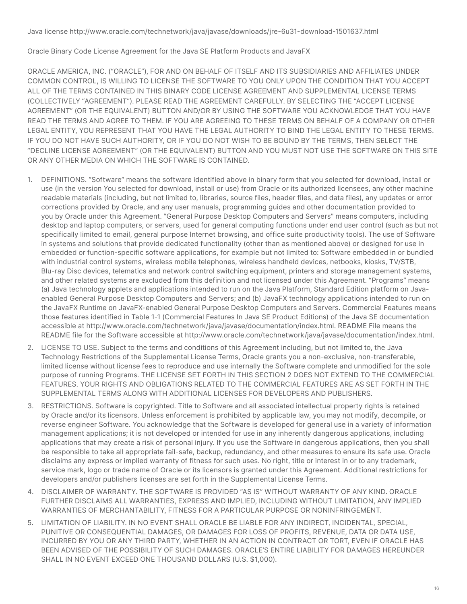Java license http://www.oracle.com/technetwork/java/javase/downloads/jre-6u31-download-1501637.html

#### Oracle Binary Code License Agreement for the Java SE Platform Products and JavaFX

ORACLE AMERICA, INC. ("ORACLE"), FOR AND ON BEHALF OF ITSELF AND ITS SUBSIDIARIES AND AFFILIATES UNDER COMMON CONTROL, IS WILLING TO LICENSE THE SOFTWARE TO YOU ONLY UPON THE CONDITION THAT YOU ACCEPT ALL OF THE TERMS CONTAINED IN THIS BINARY CODE LICENSE AGREEMENT AND SUPPLEMENTAL LICENSE TERMS (COLLECTIVELY "AGREEMENT"). PLEASE READ THE AGREEMENT CAREFULLY. BY SELECTING THE "ACCEPT LICENSE AGREEMENT" (OR THE EQUIVALENT) BUTTON AND/OR BY USING THE SOFTWARE YOU ACKNOWLEDGE THAT YOU HAVE READ THE TERMS AND AGREE TO THEM. IF YOU ARE AGREEING TO THESE TERMS ON BEHALF OF A COMPANY OR OTHER LEGAL ENTITY, YOU REPRESENT THAT YOU HAVE THE LEGAL AUTHORITY TO BIND THE LEGAL ENTITY TO THESE TERMS. IF YOU DO NOT HAVE SUCH AUTHORITY, OR IF YOU DO NOT WISH TO BE BOUND BY THE TERMS, THEN SELECT THE "DECLINE LICENSE AGREEMENT" (OR THE EQUIVALENT) BUTTON AND YOU MUST NOT USE THE SOFTWARE ON THIS SITE OR ANY OTHER MEDIA ON WHICH THE SOFTWARE IS CONTAINED.

- 1. DEFINITIONS. "Software" means the software identified above in binary form that you selected for download, install or use (in the version You selected for download, install or use) from Oracle or its authorized licensees, any other machine readable materials (including, but not limited to, libraries, source files, header files, and data files), any updates or error corrections provided by Oracle, and any user manuals, programming guides and other documentation provided to you by Oracle under this Agreement. "General Purpose Desktop Computers and Servers" means computers, including desktop and laptop computers, or servers, used for general computing functions under end user control (such as but not specifically limited to email, general purpose Internet browsing, and office suite productivity tools). The use of Software in systems and solutions that provide dedicated functionality (other than as mentioned above) or designed for use in embedded or function-specific software applications, for example but not limited to: Software embedded in or bundled with industrial control systems, wireless mobile telephones, wireless handheld devices, netbooks, kiosks, TV/STB, Blu-ray Disc devices, telematics and network control switching equipment, printers and storage management systems, and other related systems are excluded from this definition and not licensed under this Agreement. "Programs" means (a) Java technology applets and applications intended to run on the Java Platform, Standard Edition platform on Javaenabled General Purpose Desktop Computers and Servers; and (b) JavaFX technology applications intended to run on the JavaFX Runtime on JavaFX-enabled General Purpose Desktop Computers and Servers. Commercial Features means those features identified in Table 1-1 (Commercial Features In Java SE Product Editions) of the Java SE documentation accessible at http://www.oracle.com/technetwork/java/javase/documentation/index.html. README File means the README file for the Software accessible at http://www.oracle.com/technetwork/java/javase/documentation/index.html.
- 2. LICENSE TO USE. Subject to the terms and conditions of this Agreement including, but not limited to, the Java Technology Restrictions of the Supplemental License Terms, Oracle grants you a non-exclusive, non-transferable, limited license without license fees to reproduce and use internally the Software complete and unmodified for the sole purpose of running Programs. THE LICENSE SET FORTH IN THIS SECTION 2 DOES NOT EXTEND TO THE COMMERCIAL FEATURES. YOUR RIGHTS AND OBLIGATIONS RELATED TO THE COMMERCIAL FEATURES ARE AS SET FORTH IN THE SUPPLEMENTAL TERMS ALONG WITH ADDITIONAL LICENSES FOR DEVELOPERS AND PUBLISHERS.
- 3. RESTRICTIONS. Software is copyrighted. Title to Software and all associated intellectual property rights is retained by Oracle and/or its licensors. Unless enforcement is prohibited by applicable law, you may not modify, decompile, or reverse engineer Software. You acknowledge that the Software is developed for general use in a variety of information management applications; it is not developed or intended for use in any inherently dangerous applications, including applications that may create a risk of personal injury. If you use the Software in dangerous applications, then you shall be responsible to take all appropriate fail-safe, backup, redundancy, and other measures to ensure its safe use. Oracle disclaims any express or implied warranty of fitness for such uses. No right, title or interest in or to any trademark, service mark, logo or trade name of Oracle or its licensors is granted under this Agreement. Additional restrictions for developers and/or publishers licenses are set forth in the Supplemental License Terms.
- 4. DISCLAIMER OF WARRANTY. THE SOFTWARE IS PROVIDED "AS IS" WITHOUT WARRANTY OF ANY KIND. ORACLE FURTHER DISCLAIMS ALL WARRANTIES, EXPRESS AND IMPLIED, INCLUDING WITHOUT LIMITATION, ANY IMPLIED WARRANTIES OF MERCHANTABILITY, FITNESS FOR A PARTICULAR PURPOSE OR NONINFRINGEMENT.
- 5. LIMITATION OF LIABILITY. IN NO EVENT SHALL ORACLE BE LIABLE FOR ANY INDIRECT, INCIDENTAL, SPECIAL, PUNITIVE OR CONSEQUENTIAL DAMAGES, OR DAMAGES FOR LOSS OF PROFITS, REVENUE, DATA OR DATA USE, INCURRED BY YOU OR ANY THIRD PARTY, WHETHER IN AN ACTION IN CONTRACT OR TORT, EVEN IF ORACLE HAS BEEN ADVISED OF THE POSSIBILITY OF SUCH DAMAGES. ORACLE'S ENTIRE LIABILITY FOR DAMAGES HEREUNDER SHALL IN NO EVENT EXCEED ONE THOUSAND DOLLARS (U.S. \$1,000).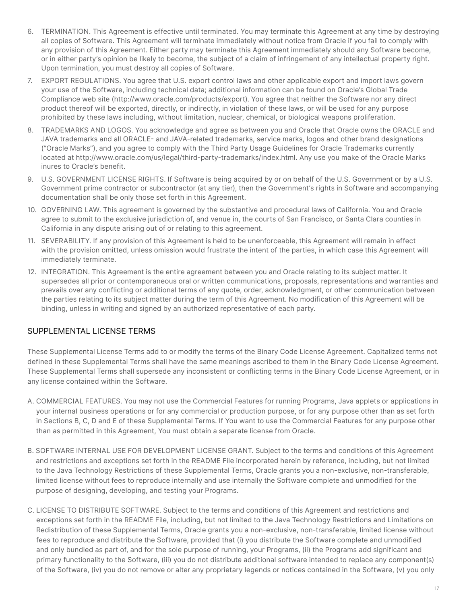- 6. TERMINATION. This Agreement is effective until terminated. You may terminate this Agreement at any time by destroying all copies of Software. This Agreement will terminate immediately without notice from Oracle if you fail to comply with any provision of this Agreement. Either party may terminate this Agreement immediately should any Software become, or in either party's opinion be likely to become, the subject of a claim of infringement of any intellectual property right. Upon termination, you must destroy all copies of Software.
- 7. EXPORT REGULATIONS. You agree that U.S. export control laws and other applicable export and import laws govern your use of the Software, including technical data; additional information can be found on Oracle's Global Trade Compliance web site (http://www.oracle.com/products/export). You agree that neither the Software nor any direct product thereof will be exported, directly, or indirectly, in violation of these laws, or will be used for any purpose prohibited by these laws including, without limitation, nuclear, chemical, or biological weapons proliferation.
- 8. TRADEMARKS AND LOGOS. You acknowledge and agree as between you and Oracle that Oracle owns the ORACLE and JAVA trademarks and all ORACLE- and JAVA-related trademarks, service marks, logos and other brand designations ("Oracle Marks"), and you agree to comply with the Third Party Usage Guidelines for Oracle Trademarks currently located at http://www.oracle.com/us/legal/third-party-trademarks/index.html. Any use you make of the Oracle Marks inures to Oracle's benefit.
- 9. U.S. GOVERNMENT LICENSE RIGHTS. If Software is being acquired by or on behalf of the U.S. Government or by a U.S. Government prime contractor or subcontractor (at any tier), then the Government's rights in Software and accompanying documentation shall be only those set forth in this Agreement.
- 10. GOVERNING LAW. This agreement is governed by the substantive and procedural laws of California. You and Oracle agree to submit to the exclusive jurisdiction of, and venue in, the courts of San Francisco, or Santa Clara counties in California in any dispute arising out of or relating to this agreement.
- 11. SEVERABILITY. If any provision of this Agreement is held to be unenforceable, this Agreement will remain in effect with the provision omitted, unless omission would frustrate the intent of the parties, in which case this Agreement will immediately terminate.
- 12. INTEGRATION. This Agreement is the entire agreement between you and Oracle relating to its subject matter. It supersedes all prior or contemporaneous oral or written communications, proposals, representations and warranties and prevails over any conflicting or additional terms of any quote, order, acknowledgment, or other communication between the parties relating to its subject matter during the term of this Agreement. No modification of this Agreement will be binding, unless in writing and signed by an authorized representative of each party.

#### SUPPLEMENTAL LICENSE TERMS

These Supplemental License Terms add to or modify the terms of the Binary Code License Agreement. Capitalized terms not defined in these Supplemental Terms shall have the same meanings ascribed to them in the Binary Code License Agreement. These Supplemental Terms shall supersede any inconsistent or conflicting terms in the Binary Code License Agreement, or in any license contained within the Software.

- A. COMMERCIAL FEATURES. You may not use the Commercial Features for running Programs, Java applets or applications in your internal business operations or for any commercial or production purpose, or for any purpose other than as set forth in Sections B, C, D and E of these Supplemental Terms. If You want to use the Commercial Features for any purpose other than as permitted in this Agreement, You must obtain a separate license from Oracle.
- B. SOFTWARE INTERNAL USE FOR DEVELOPMENT LICENSE GRANT. Subject to the terms and conditions of this Agreement and restrictions and exceptions set forth in the README File incorporated herein by reference, including, but not limited to the Java Technology Restrictions of these Supplemental Terms, Oracle grants you a non-exclusive, non-transferable, limited license without fees to reproduce internally and use internally the Software complete and unmodified for the purpose of designing, developing, and testing your Programs.
- C. LICENSE TO DISTRIBUTE SOFTWARE. Subject to the terms and conditions of this Agreement and restrictions and exceptions set forth in the README File, including, but not limited to the Java Technology Restrictions and Limitations on Redistribution of these Supplemental Terms, Oracle grants you a non-exclusive, non-transferable, limited license without fees to reproduce and distribute the Software, provided that (i) you distribute the Software complete and unmodified and only bundled as part of, and for the sole purpose of running, your Programs, (ii) the Programs add significant and primary functionality to the Software, (iii) you do not distribute additional software intended to replace any component(s) of the Software, (iv) you do not remove or alter any proprietary legends or notices contained in the Software, (v) you only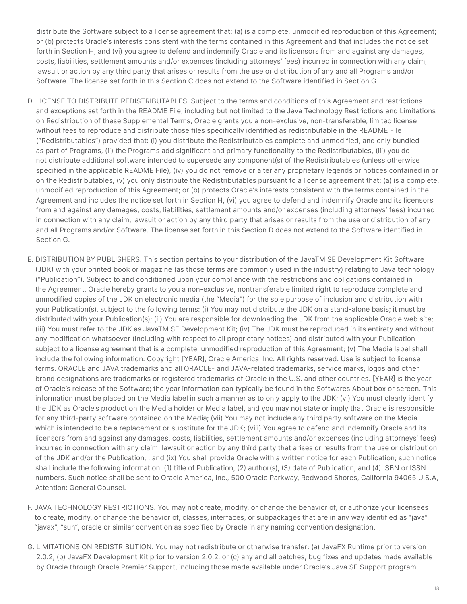distribute the Software subject to a license agreement that: (a) is a complete, unmodified reproduction of this Agreement; or (b) protects Oracle's interests consistent with the terms contained in this Agreement and that includes the notice set forth in Section H, and (vi) you agree to defend and indemnify Oracle and its licensors from and against any damages, costs, liabilities, settlement amounts and/or expenses (including attorneys' fees) incurred in connection with any claim, lawsuit or action by any third party that arises or results from the use or distribution of any and all Programs and/or Software. The license set forth in this Section C does not extend to the Software identified in Section G.

- D. LICENSE TO DISTRIBUTE REDISTRIBUTABLES. Subject to the terms and conditions of this Agreement and restrictions and exceptions set forth in the README File, including but not limited to the Java Technology Restrictions and Limitations on Redistribution of these Supplemental Terms, Oracle grants you a non-exclusive, non-transferable, limited license without fees to reproduce and distribute those files specifically identified as redistributable in the README File ("Redistributables") provided that: (i) you distribute the Redistributables complete and unmodified, and only bundled as part of Programs, (ii) the Programs add significant and primary functionality to the Redistributables, (iii) you do not distribute additional software intended to supersede any component(s) of the Redistributables (unless otherwise specified in the applicable README File), (iv) you do not remove or alter any proprietary legends or notices contained in or on the Redistributables, (v) you only distribute the Redistributables pursuant to a license agreement that: (a) is a complete, unmodified reproduction of this Agreement; or (b) protects Oracle's interests consistent with the terms contained in the Agreement and includes the notice set forth in Section H, (vi) you agree to defend and indemnify Oracle and its licensors from and against any damages, costs, liabilities, settlement amounts and/or expenses (including attorneys' fees) incurred in connection with any claim, lawsuit or action by any third party that arises or results from the use or distribution of any and all Programs and/or Software. The license set forth in this Section D does not extend to the Software identified in Section G.
- E. DISTRIBUTION BY PUBLISHERS. This section pertains to your distribution of the JavaTM SE Development Kit Software (JDK) with your printed book or magazine (as those terms are commonly used in the industry) relating to Java technology ("Publication"). Subject to and conditioned upon your compliance with the restrictions and obligations contained in the Agreement, Oracle hereby grants to you a non-exclusive, nontransferable limited right to reproduce complete and unmodified copies of the JDK on electronic media (the "Media") for the sole purpose of inclusion and distribution with your Publication(s), subject to the following terms: (i) You may not distribute the JDK on a stand-alone basis; it must be distributed with your Publication(s); (ii) You are responsible for downloading the JDK from the applicable Oracle web site; (iii) You must refer to the JDK as JavaTM SE Development Kit; (iv) The JDK must be reproduced in its entirety and without any modification whatsoever (including with respect to all proprietary notices) and distributed with your Publication subject to a license agreement that is a complete, unmodified reproduction of this Agreement; (v) The Media label shall include the following information: Copyright [YEAR], Oracle America, Inc. All rights reserved. Use is subject to license terms. ORACLE and JAVA trademarks and all ORACLE- and JAVA-related trademarks, service marks, logos and other brand designations are trademarks or registered trademarks of Oracle in the U.S. and other countries. [YEAR] is the year of Oracle's release of the Software; the year information can typically be found in the Softwares About box or screen. This information must be placed on the Media label in such a manner as to only apply to the JDK; (vi) You must clearly identify the JDK as Oracle's product on the Media holder or Media label, and you may not state or imply that Oracle is responsible for any third-party software contained on the Media; (vii) You may not include any third party software on the Media which is intended to be a replacement or substitute for the JDK; (viii) You agree to defend and indemnify Oracle and its licensors from and against any damages, costs, liabilities, settlement amounts and/or expenses (including attorneys' fees) incurred in connection with any claim, lawsuit or action by any third party that arises or results from the use or distribution of the JDK and/or the Publication; ; and (ix) You shall provide Oracle with a written notice for each Publication; such notice shall include the following information: (1) title of Publication, (2) author(s), (3) date of Publication, and (4) ISBN or ISSN numbers. Such notice shall be sent to Oracle America, Inc., 500 Oracle Parkway, Redwood Shores, California 94065 U.S.A, Attention: General Counsel.
- F. JAVA TECHNOLOGY RESTRICTIONS. You may not create, modify, or change the behavior of, or authorize your licensees to create, modify, or change the behavior of, classes, interfaces, or subpackages that are in any way identified as "java", "javax", "sun", oracle or similar convention as specified by Oracle in any naming convention designation.
- G. LIMITATIONS ON REDISTRIBUTION. You may not redistribute or otherwise transfer: (a) JavaFX Runtime prior to version 2.0.2, (b) JavaFX Development Kit prior to version 2.0.2, or (c) any and all patches, bug fixes and updates made available by Oracle through Oracle Premier Support, including those made available under Oracle's Java SE Support program.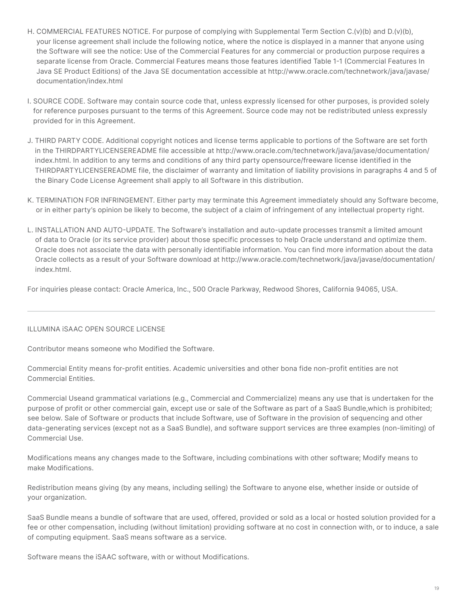- H. COMMERCIAL FEATURES NOTICE. For purpose of complying with Supplemental Term Section C.(v)(b) and D.(v)(b), your license agreement shall include the following notice, where the notice is displayed in a manner that anyone using the Software will see the notice: Use of the Commercial Features for any commercial or production purpose requires a separate license from Oracle. Commercial Features means those features identified Table 1-1 (Commercial Features In Java SE Product Editions) of the Java SE documentation accessible at http://www.oracle.com/technetwork/java/javase/ documentation/index.html
- I. SOURCE CODE. Software may contain source code that, unless expressly licensed for other purposes, is provided solely for reference purposes pursuant to the terms of this Agreement. Source code may not be redistributed unless expressly provided for in this Agreement.
- J. THIRD PARTY CODE. Additional copyright notices and license terms applicable to portions of the Software are set forth in the THIRDPARTYLICENSEREADME file accessible at http://www.oracle.com/technetwork/java/javase/documentation/ index.html. In addition to any terms and conditions of any third party opensource/freeware license identified in the THIRDPARTYLICENSEREADME file, the disclaimer of warranty and limitation of liability provisions in paragraphs 4 and 5 of the Binary Code License Agreement shall apply to all Software in this distribution.
- K. TERMINATION FOR INFRINGEMENT. Either party may terminate this Agreement immediately should any Software become, or in either party's opinion be likely to become, the subject of a claim of infringement of any intellectual property right.
- L. INSTALLATION AND AUTO-UPDATE. The Software's installation and auto-update processes transmit a limited amount of data to Oracle (or its service provider) about those specific processes to help Oracle understand and optimize them. Oracle does not associate the data with personally identifiable information. You can find more information about the data Oracle collects as a result of your Software download at http://www.oracle.com/technetwork/java/javase/documentation/ index.html.

For inquiries please contact: Oracle America, Inc., 500 Oracle Parkway, Redwood Shores, California 94065, USA.

#### ILLUMINA iSAAC OPEN SOURCE LICENSE

Contributor means someone who Modified the Software.

Commercial Entity means for-profit entities. Academic universities and other bona fide non-profit entities are not Commercial Entities.

Commercial Useand grammatical variations (e.g., Commercial and Commercialize) means any use that is undertaken for the purpose of profit or other commercial gain, except use or sale of the Software as part of a SaaS Bundle,which is prohibited; see below. Sale of Software or products that include Software, use of Software in the provision of sequencing and other data-generating services (except not as a SaaS Bundle), and software support services are three examples (non-limiting) of Commercial Use.

Modifications means any changes made to the Software, including combinations with other software; Modify means to make Modifications.

Redistribution means giving (by any means, including selling) the Software to anyone else, whether inside or outside of your organization.

SaaS Bundle means a bundle of software that are used, offered, provided or sold as a local or hosted solution provided for a fee or other compensation, including (without limitation) providing software at no cost in connection with, or to induce, a sale of computing equipment. SaaS means software as a service.

Software means the iSAAC software, with or without Modifications.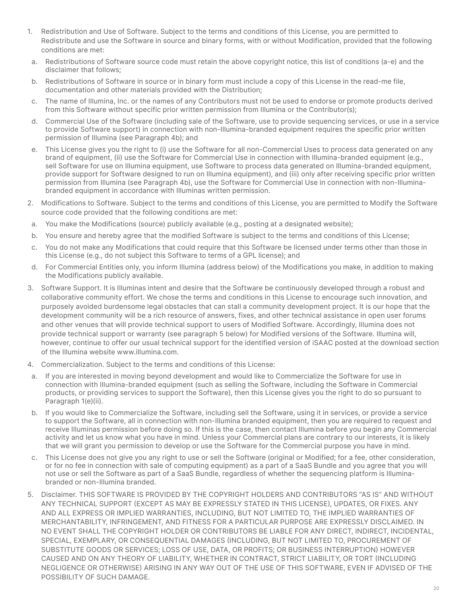- 1. Redistribution and Use of Software. Subject to the terms and conditions of this License, you are permitted to Redistribute and use the Software in source and binary forms, with or without Modification, provided that the following conditions are met:
- a. Redistributions of Software source code must retain the above copyright notice, this list of conditions (a-e) and the disclaimer that follows;
- b. Redistributions of Software in source or in binary form must include a copy of this License in the read-me file, documentation and other materials provided with the Distribution;
- c. The name of Illumina, Inc. or the names of any Contributors must not be used to endorse or promote products derived from this Software without specific prior written permission from Illumina or the Contributor(s);
- d. Commercial Use of the Software (including sale of the Software, use to provide sequencing services, or use in a service to provide Software support) in connection with non-Illumina-branded equipment requires the specific prior written permission of Illumina (see Paragraph 4b); and
- e. This License gives you the right to (i) use the Software for all non-Commercial Uses to process data generated on any brand of equipment, (ii) use the Software for Commercial Use in connection with Illumina-branded equipment (e.g., sell Software for use on Illumina equipment, use Software to process data generated on Illumina-branded equipment, provide support for Software designed to run on Illumina equipment), and (iii) only after receiving specific prior written permission from Illumina (see Paragraph 4b), use the Software for Commercial Use in connection with non-Illuminabranded equipment in accordance with Illuminas written permission.
- 2. Modifications to Software. Subject to the terms and conditions of this License, you are permitted to Modify the Software source code provided that the following conditions are met:
- a. You make the Modifications (source) publicly available (e.g., posting at a designated website);
- b. You ensure and hereby agree that the modified Software is subject to the terms and conditions of this License;
- c. You do not make any Modifications that could require that this Software be licensed under terms other than those in this License (e.g., do not subject this Software to terms of a GPL license); and
- d. For Commercial Entities only, you inform Illumina (address below) of the Modifications you make, in addition to making the Modifications publicly available.
- 3. Software Support. It is Illuminas intent and desire that the Software be continuously developed through a robust and collaborative community effort. We chose the terms and conditions in this License to encourage such innovation, and purposely avoided burdensome legal obstacles that can stall a community development project. It is our hope that the development community will be a rich resource of answers, fixes, and other technical assistance in open user forums and other venues that will provide technical support to users of Modified Software. Accordingly, Illumina does not provide technical support or warranty (see paragraph 5 below) for Modified versions of the Software. Illumina will, however, continue to offer our usual technical support for the identified version of iSAAC posted at the download section of the Illumina website www.illumina.com.
- 4. Commercialization. Subject to the terms and conditions of this License:
- a. If you are interested in moving beyond development and would like to Commercialize the Software for use in connection with Illumina-branded equipment (such as selling the Software, including the Software in Commercial products, or providing services to support the Software), then this License gives you the right to do so pursuant to Paragraph 1(e)(ii).
- b. If you would like to Commercialize the Software, including sell the Software, using it in services, or provide a service to support the Software, all in connection with non-Illumina branded equipment, then you are required to request and receive Illuminas permission before doing so. If this is the case, then contact Illumina before you begin any Commercial activity and let us know what you have in mind. Unless your Commercial plans are contrary to our interests, it is likely that we will grant you permission to develop or use the Software for the Commercial purpose you have in mind.
- c. This License does not give you any right to use or sell the Software (original or Modified; for a fee, other consideration, or for no fee in connection with sale of computing equipment) as a part of a SaaS Bundle and you agree that you will not use or sell the Software as part of a SaaS Bundle, regardless of whether the sequencing platform is Illuminabranded or non-Illumina branded.
- 5. Disclaimer. THIS SOFTWARE IS PROVIDED BY THE COPYRIGHT HOLDERS AND CONTRIBUTORS "AS IS" AND WITHOUT ANY TECHNICAL SUPPORT (EXCEPT AS MAY BE EXPRESSLY STATED IN THIS LICENSE), UPDATES, OR FIXES. ANY AND ALL EXPRESS OR IMPLIED WARRANTIES, INCLUDING, BUT NOT LIMITED TO, THE IMPLIED WARRANTIES OF MERCHANTABILITY, INFRINGEMENT, AND FITNESS FOR A PARTICULAR PURPOSE ARE EXPRESSLY DISCLAIMED. IN NO EVENT SHALL THE COPYRIGHT HOLDER OR CONTRIBUTORS BE LIABLE FOR ANY DIRECT, INDIRECT, INCIDENTAL, SPECIAL, EXEMPLARY, OR CONSEQUENTIAL DAMAGES (INCLUDING, BUT NOT LIMITED TO, PROCUREMENT OF SUBSTITUTE GOODS OR SERVICES; LOSS OF USE, DATA, OR PROFITS; OR BUSINESS INTERRUPTION) HOWEVER CAUSED AND ON ANY THEORY OF LIABILITY, WHETHER IN CONTRACT, STRICT LIABILITY, OR TORT (INCLUDING NEGLIGENCE OR OTHERWISE) ARISING IN ANY WAY OUT OF THE USE OF THIS SOFTWARE, EVEN IF ADVISED OF THE POSSIBILITY OF SUCH DAMAGE.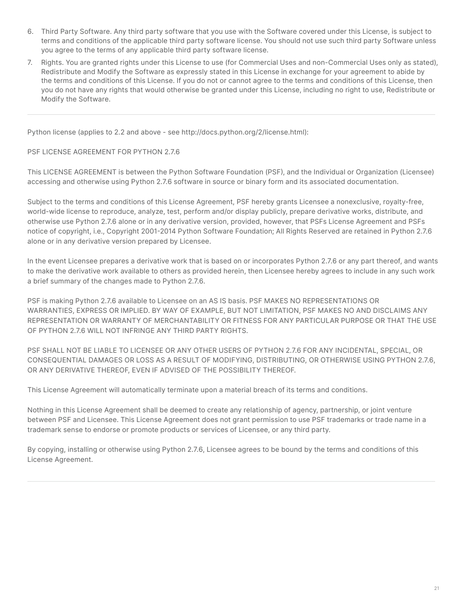- 6. Third Party Software. Any third party software that you use with the Software covered under this License, is subject to terms and conditions of the applicable third party software license. You should not use such third party Software unless you agree to the terms of any applicable third party software license.
- 7. Rights. You are granted rights under this License to use (for Commercial Uses and non-Commercial Uses only as stated), Redistribute and Modify the Software as expressly stated in this License in exchange for your agreement to abide by the terms and conditions of this License. If you do not or cannot agree to the terms and conditions of this License, then you do not have any rights that would otherwise be granted under this License, including no right to use, Redistribute or Modify the Software.

Python license (applies to 2.2 and above - see http://docs.python.org/2/license.html):

PSF LICENSE AGREEMENT FOR PYTHON 2.7.6

This LICENSE AGREEMENT is between the Python Software Foundation (PSF), and the Individual or Organization (Licensee) accessing and otherwise using Python 2.7.6 software in source or binary form and its associated documentation.

Subject to the terms and conditions of this License Agreement, PSF hereby grants Licensee a nonexclusive, royalty-free, world-wide license to reproduce, analyze, test, perform and/or display publicly, prepare derivative works, distribute, and otherwise use Python 2.7.6 alone or in any derivative version, provided, however, that PSFs License Agreement and PSFs notice of copyright, i.e., Copyright 2001-2014 Python Software Foundation; All Rights Reserved are retained in Python 2.7.6 alone or in any derivative version prepared by Licensee.

In the event Licensee prepares a derivative work that is based on or incorporates Python 2.7.6 or any part thereof, and wants to make the derivative work available to others as provided herein, then Licensee hereby agrees to include in any such work a brief summary of the changes made to Python 2.7.6.

PSF is making Python 2.7.6 available to Licensee on an AS IS basis. PSF MAKES NO REPRESENTATIONS OR WARRANTIES, EXPRESS OR IMPLIED. BY WAY OF EXAMPLE, BUT NOT LIMITATION, PSF MAKES NO AND DISCLAIMS ANY REPRESENTATION OR WARRANTY OF MERCHANTABILITY OR FITNESS FOR ANY PARTICULAR PURPOSE OR THAT THE USE OF PYTHON 2.7.6 WILL NOT INFRINGE ANY THIRD PARTY RIGHTS.

PSF SHALL NOT BE LIABLE TO LICENSEE OR ANY OTHER USERS OF PYTHON 2.7.6 FOR ANY INCIDENTAL, SPECIAL, OR CONSEQUENTIAL DAMAGES OR LOSS AS A RESULT OF MODIFYING, DISTRIBUTING, OR OTHERWISE USING PYTHON 2.7.6, OR ANY DERIVATIVE THEREOF, EVEN IF ADVISED OF THE POSSIBILITY THEREOF.

This License Agreement will automatically terminate upon a material breach of its terms and conditions.

Nothing in this License Agreement shall be deemed to create any relationship of agency, partnership, or joint venture between PSF and Licensee. This License Agreement does not grant permission to use PSF trademarks or trade name in a trademark sense to endorse or promote products or services of Licensee, or any third party.

By copying, installing or otherwise using Python 2.7.6, Licensee agrees to be bound by the terms and conditions of this License Agreement.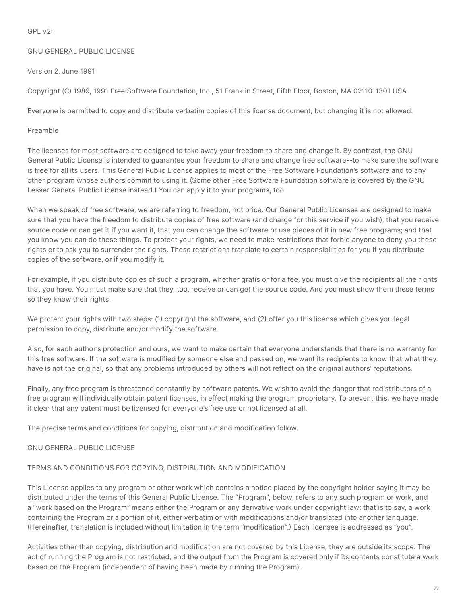GPL v2:

#### GNU GENERAL PUBLIC LICENSE

Version 2, June 1991

Copyright (C) 1989, 1991 Free Software Foundation, Inc., 51 Franklin Street, Fifth Floor, Boston, MA 02110-1301 USA

Everyone is permitted to copy and distribute verbatim copies of this license document, but changing it is not allowed.

#### Preamble

The licenses for most software are designed to take away your freedom to share and change it. By contrast, the GNU General Public License is intended to guarantee your freedom to share and change free software--to make sure the software is free for all its users. This General Public License applies to most of the Free Software Foundation's software and to any other program whose authors commit to using it. (Some other Free Software Foundation software is covered by the GNU Lesser General Public License instead.) You can apply it to your programs, too.

When we speak of free software, we are referring to freedom, not price. Our General Public Licenses are designed to make sure that you have the freedom to distribute copies of free software (and charge for this service if you wish), that you receive source code or can get it if you want it, that you can change the software or use pieces of it in new free programs; and that you know you can do these things. To protect your rights, we need to make restrictions that forbid anyone to deny you these rights or to ask you to surrender the rights. These restrictions translate to certain responsibilities for you if you distribute copies of the software, or if you modify it.

For example, if you distribute copies of such a program, whether gratis or for a fee, you must give the recipients all the rights that you have. You must make sure that they, too, receive or can get the source code. And you must show them these terms so they know their rights.

We protect your rights with two steps: (1) copyright the software, and (2) offer you this license which gives you legal permission to copy, distribute and/or modify the software.

Also, for each author's protection and ours, we want to make certain that everyone understands that there is no warranty for this free software. If the software is modified by someone else and passed on, we want its recipients to know that what they have is not the original, so that any problems introduced by others will not reflect on the original authors' reputations.

Finally, any free program is threatened constantly by software patents. We wish to avoid the danger that redistributors of a free program will individually obtain patent licenses, in effect making the program proprietary. To prevent this, we have made it clear that any patent must be licensed for everyone's free use or not licensed at all.

The precise terms and conditions for copying, distribution and modification follow.

#### GNU GENERAL PUBLIC LICENSE

#### TERMS AND CONDITIONS FOR COPYING, DISTRIBUTION AND MODIFICATION

This License applies to any program or other work which contains a notice placed by the copyright holder saying it may be distributed under the terms of this General Public License. The "Program", below, refers to any such program or work, and a "work based on the Program" means either the Program or any derivative work under copyright law: that is to say, a work containing the Program or a portion of it, either verbatim or with modifications and/or translated into another language. (Hereinafter, translation is included without limitation in the term "modification".) Each licensee is addressed as "you".

Activities other than copying, distribution and modification are not covered by this License; they are outside its scope. The act of running the Program is not restricted, and the output from the Program is covered only if its contents constitute a work based on the Program (independent of having been made by running the Program).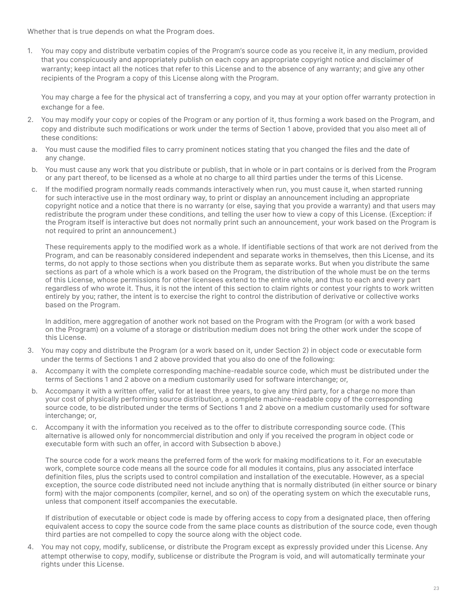Whether that is true depends on what the Program does.

1. You may copy and distribute verbatim copies of the Program's source code as you receive it, in any medium, provided that you conspicuously and appropriately publish on each copy an appropriate copyright notice and disclaimer of warranty; keep intact all the notices that refer to this License and to the absence of any warranty; and give any other recipients of the Program a copy of this License along with the Program.

You may charge a fee for the physical act of transferring a copy, and you may at your option offer warranty protection in exchange for a fee.

- 2. You may modify your copy or copies of the Program or any portion of it, thus forming a work based on the Program, and copy and distribute such modifications or work under the terms of Section 1 above, provided that you also meet all of these conditions:
- a. You must cause the modified files to carry prominent notices stating that you changed the files and the date of any change.
- b. You must cause any work that you distribute or publish, that in whole or in part contains or is derived from the Program or any part thereof, to be licensed as a whole at no charge to all third parties under the terms of this License.
- c. If the modified program normally reads commands interactively when run, you must cause it, when started running for such interactive use in the most ordinary way, to print or display an announcement including an appropriate copyright notice and a notice that there is no warranty (or else, saying that you provide a warranty) and that users may redistribute the program under these conditions, and telling the user how to view a copy of this License. (Exception: if the Program itself is interactive but does not normally print such an announcement, your work based on the Program is not required to print an announcement.)

These requirements apply to the modified work as a whole. If identifiable sections of that work are not derived from the Program, and can be reasonably considered independent and separate works in themselves, then this License, and its terms, do not apply to those sections when you distribute them as separate works. But when you distribute the same sections as part of a whole which is a work based on the Program, the distribution of the whole must be on the terms of this License, whose permissions for other licensees extend to the entire whole, and thus to each and every part regardless of who wrote it. Thus, it is not the intent of this section to claim rights or contest your rights to work written entirely by you; rather, the intent is to exercise the right to control the distribution of derivative or collective works based on the Program.

In addition, mere aggregation of another work not based on the Program with the Program (or with a work based on the Program) on a volume of a storage or distribution medium does not bring the other work under the scope of this License.

- 3. You may copy and distribute the Program (or a work based on it, under Section 2) in object code or executable form under the terms of Sections 1 and 2 above provided that you also do one of the following:
- a. Accompany it with the complete corresponding machine-readable source code, which must be distributed under the terms of Sections 1 and 2 above on a medium customarily used for software interchange; or,
- b. Accompany it with a written offer, valid for at least three years, to give any third party, for a charge no more than your cost of physically performing source distribution, a complete machine-readable copy of the corresponding source code, to be distributed under the terms of Sections 1 and 2 above on a medium customarily used for software interchange; or,
- c. Accompany it with the information you received as to the offer to distribute corresponding source code. (This alternative is allowed only for noncommercial distribution and only if you received the program in object code or executable form with such an offer, in accord with Subsection b above.)

The source code for a work means the preferred form of the work for making modifications to it. For an executable work, complete source code means all the source code for all modules it contains, plus any associated interface definition files, plus the scripts used to control compilation and installation of the executable. However, as a special exception, the source code distributed need not include anything that is normally distributed (in either source or binary form) with the major components (compiler, kernel, and so on) of the operating system on which the executable runs, unless that component itself accompanies the executable.

If distribution of executable or object code is made by offering access to copy from a designated place, then offering equivalent access to copy the source code from the same place counts as distribution of the source code, even though third parties are not compelled to copy the source along with the object code.

4. You may not copy, modify, sublicense, or distribute the Program except as expressly provided under this License. Any attempt otherwise to copy, modify, sublicense or distribute the Program is void, and will automatically terminate your rights under this License.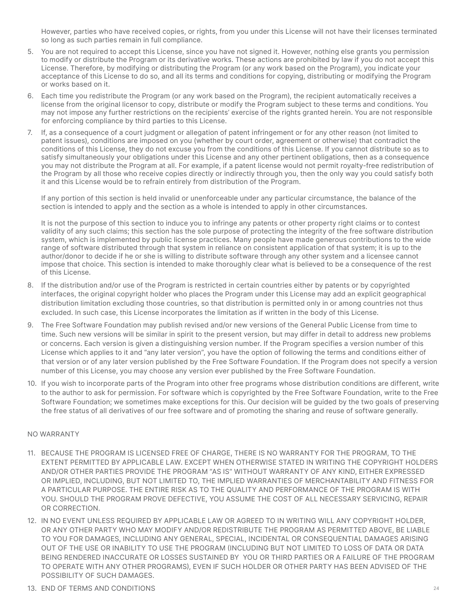However, parties who have received copies, or rights, from you under this License will not have their licenses terminated so long as such parties remain in full compliance.

- 5. You are not required to accept this License, since you have not signed it. However, nothing else grants you permission to modify or distribute the Program or its derivative works. These actions are prohibited by law if you do not accept this License. Therefore, by modifying or distributing the Program (or any work based on the Program), you indicate your acceptance of this License to do so, and all its terms and conditions for copying, distributing or modifying the Program or works based on it.
- 6. Each time you redistribute the Program (or any work based on the Program), the recipient automatically receives a license from the original licensor to copy, distribute or modify the Program subject to these terms and conditions. You may not impose any further restrictions on the recipients' exercise of the rights granted herein. You are not responsible for enforcing compliance by third parties to this License.
- 7. If, as a consequence of a court judgment or allegation of patent infringement or for any other reason (not limited to patent issues), conditions are imposed on you (whether by court order, agreement or otherwise) that contradict the conditions of this License, they do not excuse you from the conditions of this License. If you cannot distribute so as to satisfy simultaneously your obligations under this License and any other pertinent obligations, then as a consequence you may not distribute the Program at all. For example, if a patent license would not permit royalty-free redistribution of the Program by all those who receive copies directly or indirectly through you, then the only way you could satisfy both it and this License would be to refrain entirely from distribution of the Program.

If any portion of this section is held invalid or unenforceable under any particular circumstance, the balance of the section is intended to apply and the section as a whole is intended to apply in other circumstances.

It is not the purpose of this section to induce you to infringe any patents or other property right claims or to contest validity of any such claims; this section has the sole purpose of protecting the integrity of the free software distribution system, which is implemented by public license practices. Many people have made generous contributions to the wide range of software distributed through that system in reliance on consistent application of that system; it is up to the author/donor to decide if he or she is willing to distribute software through any other system and a licensee cannot impose that choice. This section is intended to make thoroughly clear what is believed to be a consequence of the rest of this License.

- 8. If the distribution and/or use of the Program is restricted in certain countries either by patents or by copyrighted interfaces, the original copyright holder who places the Program under this License may add an explicit geographical distribution limitation excluding those countries, so that distribution is permitted only in or among countries not thus excluded. In such case, this License incorporates the limitation as if written in the body of this License.
- 9. The Free Software Foundation may publish revised and/or new versions of the General Public License from time to time. Such new versions will be similar in spirit to the present version, but may differ in detail to address new problems or concerns. Each version is given a distinguishing version number. If the Program specifies a version number of this License which applies to it and "any later version", you have the option of following the terms and conditions either of that version or of any later version published by the Free Software Foundation. If the Program does not specify a version number of this License, you may choose any version ever published by the Free Software Foundation.
- 10. If you wish to incorporate parts of the Program into other free programs whose distribution conditions are different, write to the author to ask for permission. For software which is copyrighted by the Free Software Foundation, write to the Free Software Foundation; we sometimes make exceptions for this. Our decision will be guided by the two goals of preserving the free status of all derivatives of our free software and of promoting the sharing and reuse of software generally.

#### NO WARRANTY

- 11. BECAUSE THE PROGRAM IS LICENSED FREE OF CHARGE, THERE IS NO WARRANTY FOR THE PROGRAM, TO THE EXTENT PERMITTED BY APPLICABLE LAW. EXCEPT WHEN OTHERWISE STATED IN WRITING THE COPYRIGHT HOLDERS AND/OR OTHER PARTIES PROVIDE THE PROGRAM "AS IS" WITHOUT WARRANTY OF ANY KIND, EITHER EXPRESSED OR IMPLIED, INCLUDING, BUT NOT LIMITED TO, THE IMPLIED WARRANTIES OF MERCHANTABILITY AND FITNESS FOR A PARTICULAR PURPOSE. THE ENTIRE RISK AS TO THE QUALITY AND PERFORMANCE OF THE PROGRAM IS WITH YOU. SHOULD THE PROGRAM PROVE DEFECTIVE, YOU ASSUME THE COST OF ALL NECESSARY SERVICING, REPAIR OR CORRECTION.
- 12. IN NO EVENT UNLESS REQUIRED BY APPLICABLE LAW OR AGREED TO IN WRITING WILL ANY COPYRIGHT HOLDER, OR ANY OTHER PARTY WHO MAY MODIFY AND/OR REDISTRIBUTE THE PROGRAM AS PERMITTED ABOVE, BE LIABLE TO YOU FOR DAMAGES, INCLUDING ANY GENERAL, SPECIAL, INCIDENTAL OR CONSEQUENTIAL DAMAGES ARISING OUT OF THE USE OR INABILITY TO USE THE PROGRAM (INCLUDING BUT NOT LIMITED TO LOSS OF DATA OR DATA BEING RENDERED INACCURATE OR LOSSES SUSTAINED BY YOU OR THIRD PARTIES OR A FAILURE OF THE PROGRAM TO OPERATE WITH ANY OTHER PROGRAMS), EVEN IF SUCH HOLDER OR OTHER PARTY HAS BEEN ADVISED OF THE POSSIBILITY OF SUCH DAMAGES.

#### 13. END OF TERMS AND CONDITIONS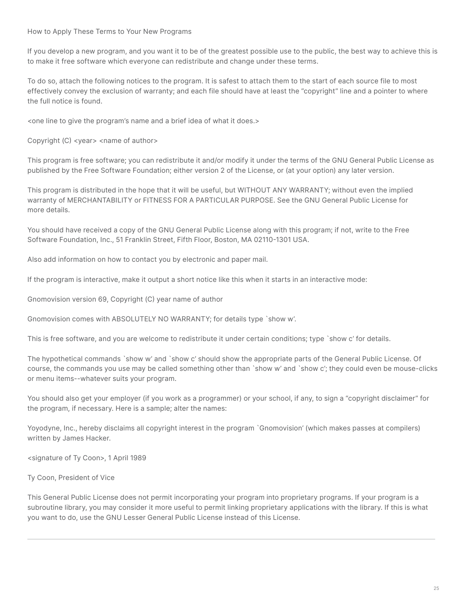How to Apply These Terms to Your New Programs

If you develop a new program, and you want it to be of the greatest possible use to the public, the best way to achieve this is to make it free software which everyone can redistribute and change under these terms.

To do so, attach the following notices to the program. It is safest to attach them to the start of each source file to most effectively convey the exclusion of warranty; and each file should have at least the "copyright" line and a pointer to where the full notice is found.

<one line to give the program's name and a brief idea of what it does.>

Copyright (C) <year> <name of author>

This program is free software; you can redistribute it and/or modify it under the terms of the GNU General Public License as published by the Free Software Foundation; either version 2 of the License, or (at your option) any later version.

This program is distributed in the hope that it will be useful, but WITHOUT ANY WARRANTY; without even the implied warranty of MERCHANTABILITY or FITNESS FOR A PARTICULAR PURPOSE. See the GNU General Public License for more details.

You should have received a copy of the GNU General Public License along with this program; if not, write to the Free Software Foundation, Inc., 51 Franklin Street, Fifth Floor, Boston, MA 02110-1301 USA.

Also add information on how to contact you by electronic and paper mail.

If the program is interactive, make it output a short notice like this when it starts in an interactive mode:

Gnomovision version 69, Copyright (C) year name of author

Gnomovision comes with ABSOLUTELY NO WARRANTY; for details type `show w'.

This is free software, and you are welcome to redistribute it under certain conditions; type `show c' for details.

The hypothetical commands `show w' and `show c' should show the appropriate parts of the General Public License. Of course, the commands you use may be called something other than `show w' and `show c'; they could even be mouse-clicks or menu items--whatever suits your program.

You should also get your employer (if you work as a programmer) or your school, if any, to sign a "copyright disclaimer" for the program, if necessary. Here is a sample; alter the names:

Yoyodyne, Inc., hereby disclaims all copyright interest in the program `Gnomovision' (which makes passes at compilers) written by James Hacker.

<signature of Ty Coon>, 1 April 1989

Ty Coon, President of Vice

This General Public License does not permit incorporating your program into proprietary programs. If your program is a subroutine library, you may consider it more useful to permit linking proprietary applications with the library. If this is what you want to do, use the GNU Lesser General Public License instead of this License.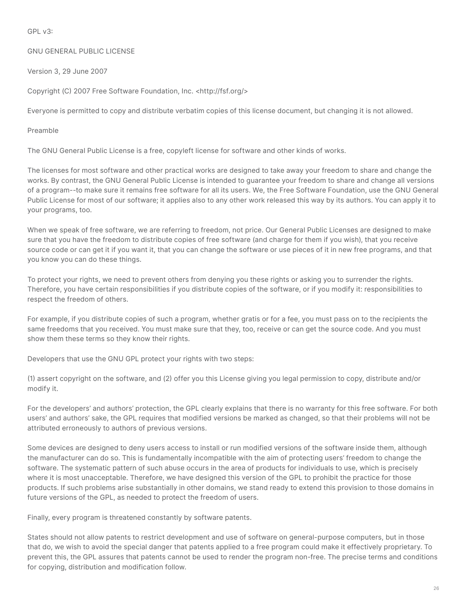GPL v3:

#### GNU GENERAL PUBLIC LICENSE

Version 3, 29 June 2007

Copyright (C) 2007 Free Software Foundation, Inc. <http://fsf.org/>

Everyone is permitted to copy and distribute verbatim copies of this license document, but changing it is not allowed.

Preamble

The GNU General Public License is a free, copyleft license for software and other kinds of works.

The licenses for most software and other practical works are designed to take away your freedom to share and change the works. By contrast, the GNU General Public License is intended to guarantee your freedom to share and change all versions of a program--to make sure it remains free software for all its users. We, the Free Software Foundation, use the GNU General Public License for most of our software; it applies also to any other work released this way by its authors. You can apply it to your programs, too.

When we speak of free software, we are referring to freedom, not price. Our General Public Licenses are designed to make sure that you have the freedom to distribute copies of free software (and charge for them if you wish), that you receive source code or can get it if you want it, that you can change the software or use pieces of it in new free programs, and that you know you can do these things.

To protect your rights, we need to prevent others from denying you these rights or asking you to surrender the rights. Therefore, you have certain responsibilities if you distribute copies of the software, or if you modify it: responsibilities to respect the freedom of others.

For example, if you distribute copies of such a program, whether gratis or for a fee, you must pass on to the recipients the same freedoms that you received. You must make sure that they, too, receive or can get the source code. And you must show them these terms so they know their rights.

Developers that use the GNU GPL protect your rights with two steps:

(1) assert copyright on the software, and (2) offer you this License giving you legal permission to copy, distribute and/or modify it.

For the developers' and authors' protection, the GPL clearly explains that there is no warranty for this free software. For both users' and authors' sake, the GPL requires that modified versions be marked as changed, so that their problems will not be attributed erroneously to authors of previous versions.

Some devices are designed to deny users access to install or run modified versions of the software inside them, although the manufacturer can do so. This is fundamentally incompatible with the aim of protecting users' freedom to change the software. The systematic pattern of such abuse occurs in the area of products for individuals to use, which is precisely where it is most unacceptable. Therefore, we have designed this version of the GPL to prohibit the practice for those products. If such problems arise substantially in other domains, we stand ready to extend this provision to those domains in future versions of the GPL, as needed to protect the freedom of users.

Finally, every program is threatened constantly by software patents.

States should not allow patents to restrict development and use of software on general-purpose computers, but in those that do, we wish to avoid the special danger that patents applied to a free program could make it effectively proprietary. To prevent this, the GPL assures that patents cannot be used to render the program non-free. The precise terms and conditions for copying, distribution and modification follow.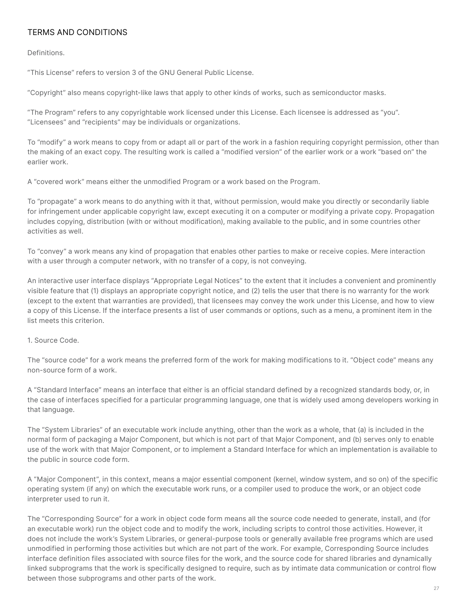#### TERMS AND CONDITIONS

Definitions.

"This License" refers to version 3 of the GNU General Public License.

"Copyright" also means copyright-like laws that apply to other kinds of works, such as semiconductor masks.

"The Program" refers to any copyrightable work licensed under this License. Each licensee is addressed as "you". "Licensees" and "recipients" may be individuals or organizations.

To "modify" a work means to copy from or adapt all or part of the work in a fashion requiring copyright permission, other than the making of an exact copy. The resulting work is called a "modified version" of the earlier work or a work "based on" the earlier work.

A "covered work" means either the unmodified Program or a work based on the Program.

To "propagate" a work means to do anything with it that, without permission, would make you directly or secondarily liable for infringement under applicable copyright law, except executing it on a computer or modifying a private copy. Propagation includes copying, distribution (with or without modification), making available to the public, and in some countries other activities as well.

To "convey" a work means any kind of propagation that enables other parties to make or receive copies. Mere interaction with a user through a computer network, with no transfer of a copy, is not conveying.

An interactive user interface displays "Appropriate Legal Notices" to the extent that it includes a convenient and prominently visible feature that (1) displays an appropriate copyright notice, and (2) tells the user that there is no warranty for the work (except to the extent that warranties are provided), that licensees may convey the work under this License, and how to view a copy of this License. If the interface presents a list of user commands or options, such as a menu, a prominent item in the list meets this criterion.

#### 1. Source Code.

The "source code" for a work means the preferred form of the work for making modifications to it. "Object code" means any non-source form of a work.

A "Standard Interface" means an interface that either is an official standard defined by a recognized standards body, or, in the case of interfaces specified for a particular programming language, one that is widely used among developers working in that language.

The "System Libraries" of an executable work include anything, other than the work as a whole, that (a) is included in the normal form of packaging a Major Component, but which is not part of that Major Component, and (b) serves only to enable use of the work with that Major Component, or to implement a Standard Interface for which an implementation is available to the public in source code form.

A "Major Component", in this context, means a major essential component (kernel, window system, and so on) of the specific operating system (if any) on which the executable work runs, or a compiler used to produce the work, or an object code interpreter used to run it.

The "Corresponding Source" for a work in object code form means all the source code needed to generate, install, and (for an executable work) run the object code and to modify the work, including scripts to control those activities. However, it does not include the work's System Libraries, or general-purpose tools or generally available free programs which are used unmodified in performing those activities but which are not part of the work. For example, Corresponding Source includes interface definition files associated with source files for the work, and the source code for shared libraries and dynamically linked subprograms that the work is specifically designed to require, such as by intimate data communication or control flow between those subprograms and other parts of the work.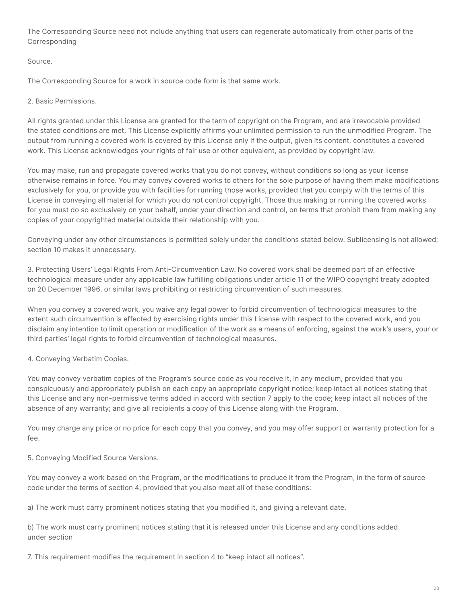The Corresponding Source need not include anything that users can regenerate automatically from other parts of the Corresponding

Source.

The Corresponding Source for a work in source code form is that same work.

2. Basic Permissions.

All rights granted under this License are granted for the term of copyright on the Program, and are irrevocable provided the stated conditions are met. This License explicitly affirms your unlimited permission to run the unmodified Program. The output from running a covered work is covered by this License only if the output, given its content, constitutes a covered work. This License acknowledges your rights of fair use or other equivalent, as provided by copyright law.

You may make, run and propagate covered works that you do not convey, without conditions so long as your license otherwise remains in force. You may convey covered works to others for the sole purpose of having them make modifications exclusively for you, or provide you with facilities for running those works, provided that you comply with the terms of this License in conveying all material for which you do not control copyright. Those thus making or running the covered works for you must do so exclusively on your behalf, under your direction and control, on terms that prohibit them from making any copies of your copyrighted material outside their relationship with you.

Conveying under any other circumstances is permitted solely under the conditions stated below. Sublicensing is not allowed; section 10 makes it unnecessary.

3. Protecting Users' Legal Rights From Anti-Circumvention Law. No covered work shall be deemed part of an effective technological measure under any applicable law fulfilling obligations under article 11 of the WIPO copyright treaty adopted on 20 December 1996, or similar laws prohibiting or restricting circumvention of such measures.

When you convey a covered work, you waive any legal power to forbid circumvention of technological measures to the extent such circumvention is effected by exercising rights under this License with respect to the covered work, and you disclaim any intention to limit operation or modification of the work as a means of enforcing, against the work's users, your or third parties' legal rights to forbid circumvention of technological measures.

#### 4. Conveying Verbatim Copies.

You may convey verbatim copies of the Program's source code as you receive it, in any medium, provided that you conspicuously and appropriately publish on each copy an appropriate copyright notice; keep intact all notices stating that this License and any non-permissive terms added in accord with section 7 apply to the code; keep intact all notices of the absence of any warranty; and give all recipients a copy of this License along with the Program.

You may charge any price or no price for each copy that you convey, and you may offer support or warranty protection for a fee.

#### 5. Conveying Modified Source Versions.

You may convey a work based on the Program, or the modifications to produce it from the Program, in the form of source code under the terms of section 4, provided that you also meet all of these conditions:

a) The work must carry prominent notices stating that you modified it, and giving a relevant date.

b) The work must carry prominent notices stating that it is released under this License and any conditions added under section

7. This requirement modifies the requirement in section 4 to "keep intact all notices".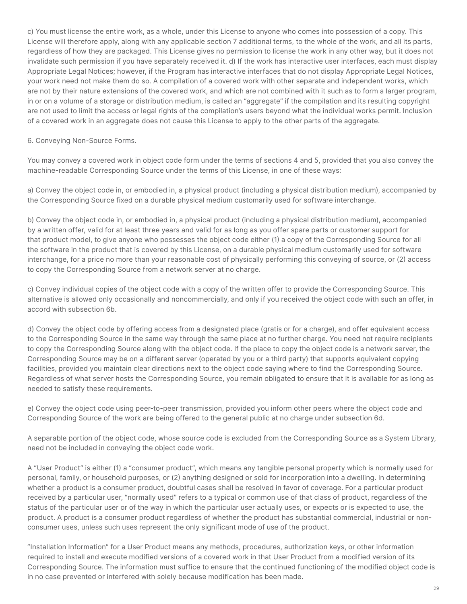c) You must license the entire work, as a whole, under this License to anyone who comes into possession of a copy. This License will therefore apply, along with any applicable section 7 additional terms, to the whole of the work, and all its parts, regardless of how they are packaged. This License gives no permission to license the work in any other way, but it does not invalidate such permission if you have separately received it. d) If the work has interactive user interfaces, each must display Appropriate Legal Notices; however, if the Program has interactive interfaces that do not display Appropriate Legal Notices, your work need not make them do so. A compilation of a covered work with other separate and independent works, which are not by their nature extensions of the covered work, and which are not combined with it such as to form a larger program, in or on a volume of a storage or distribution medium, is called an "aggregate" if the compilation and its resulting copyright are not used to limit the access or legal rights of the compilation's users beyond what the individual works permit. Inclusion of a covered work in an aggregate does not cause this License to apply to the other parts of the aggregate.

#### 6. Conveying Non-Source Forms.

You may convey a covered work in object code form under the terms of sections 4 and 5, provided that you also convey the machine-readable Corresponding Source under the terms of this License, in one of these ways:

a) Convey the object code in, or embodied in, a physical product (including a physical distribution medium), accompanied by the Corresponding Source fixed on a durable physical medium customarily used for software interchange.

b) Convey the object code in, or embodied in, a physical product (including a physical distribution medium), accompanied by a written offer, valid for at least three years and valid for as long as you offer spare parts or customer support for that product model, to give anyone who possesses the object code either (1) a copy of the Corresponding Source for all the software in the product that is covered by this License, on a durable physical medium customarily used for software interchange, for a price no more than your reasonable cost of physically performing this conveying of source, or (2) access to copy the Corresponding Source from a network server at no charge.

c) Convey individual copies of the object code with a copy of the written offer to provide the Corresponding Source. This alternative is allowed only occasionally and noncommercially, and only if you received the object code with such an offer, in accord with subsection 6b.

d) Convey the object code by offering access from a designated place (gratis or for a charge), and offer equivalent access to the Corresponding Source in the same way through the same place at no further charge. You need not require recipients to copy the Corresponding Source along with the object code. If the place to copy the object code is a network server, the Corresponding Source may be on a different server (operated by you or a third party) that supports equivalent copying facilities, provided you maintain clear directions next to the object code saying where to find the Corresponding Source. Regardless of what server hosts the Corresponding Source, you remain obligated to ensure that it is available for as long as needed to satisfy these requirements.

e) Convey the object code using peer-to-peer transmission, provided you inform other peers where the object code and Corresponding Source of the work are being offered to the general public at no charge under subsection 6d.

A separable portion of the object code, whose source code is excluded from the Corresponding Source as a System Library, need not be included in conveying the object code work.

A "User Product" is either (1) a "consumer product", which means any tangible personal property which is normally used for personal, family, or household purposes, or (2) anything designed or sold for incorporation into a dwelling. In determining whether a product is a consumer product, doubtful cases shall be resolved in favor of coverage. For a particular product received by a particular user, "normally used" refers to a typical or common use of that class of product, regardless of the status of the particular user or of the way in which the particular user actually uses, or expects or is expected to use, the product. A product is a consumer product regardless of whether the product has substantial commercial, industrial or nonconsumer uses, unless such uses represent the only significant mode of use of the product.

"Installation Information" for a User Product means any methods, procedures, authorization keys, or other information required to install and execute modified versions of a covered work in that User Product from a modified version of its Corresponding Source. The information must suffice to ensure that the continued functioning of the modified object code is in no case prevented or interfered with solely because modification has been made.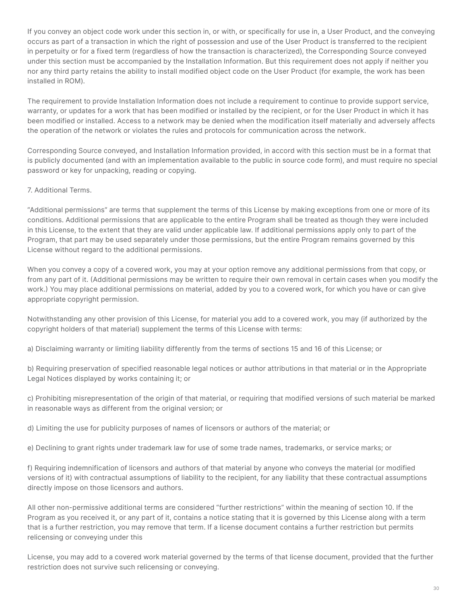If you convey an object code work under this section in, or with, or specifically for use in, a User Product, and the conveying occurs as part of a transaction in which the right of possession and use of the User Product is transferred to the recipient in perpetuity or for a fixed term (regardless of how the transaction is characterized), the Corresponding Source conveyed under this section must be accompanied by the Installation Information. But this requirement does not apply if neither you nor any third party retains the ability to install modified object code on the User Product (for example, the work has been installed in ROM).

The requirement to provide Installation Information does not include a requirement to continue to provide support service, warranty, or updates for a work that has been modified or installed by the recipient, or for the User Product in which it has been modified or installed. Access to a network may be denied when the modification itself materially and adversely affects the operation of the network or violates the rules and protocols for communication across the network.

Corresponding Source conveyed, and Installation Information provided, in accord with this section must be in a format that is publicly documented (and with an implementation available to the public in source code form), and must require no special password or key for unpacking, reading or copying.

#### 7. Additional Terms.

"Additional permissions" are terms that supplement the terms of this License by making exceptions from one or more of its conditions. Additional permissions that are applicable to the entire Program shall be treated as though they were included in this License, to the extent that they are valid under applicable law. If additional permissions apply only to part of the Program, that part may be used separately under those permissions, but the entire Program remains governed by this License without regard to the additional permissions.

When you convey a copy of a covered work, you may at your option remove any additional permissions from that copy, or from any part of it. (Additional permissions may be written to require their own removal in certain cases when you modify the work.) You may place additional permissions on material, added by you to a covered work, for which you have or can give appropriate copyright permission.

Notwithstanding any other provision of this License, for material you add to a covered work, you may (if authorized by the copyright holders of that material) supplement the terms of this License with terms:

a) Disclaiming warranty or limiting liability differently from the terms of sections 15 and 16 of this License; or

b) Requiring preservation of specified reasonable legal notices or author attributions in that material or in the Appropriate Legal Notices displayed by works containing it; or

c) Prohibiting misrepresentation of the origin of that material, or requiring that modified versions of such material be marked in reasonable ways as different from the original version; or

d) Limiting the use for publicity purposes of names of licensors or authors of the material; or

e) Declining to grant rights under trademark law for use of some trade names, trademarks, or service marks; or

f) Requiring indemnification of licensors and authors of that material by anyone who conveys the material (or modified versions of it) with contractual assumptions of liability to the recipient, for any liability that these contractual assumptions directly impose on those licensors and authors.

All other non-permissive additional terms are considered "further restrictions" within the meaning of section 10. If the Program as you received it, or any part of it, contains a notice stating that it is governed by this License along with a term that is a further restriction, you may remove that term. If a license document contains a further restriction but permits relicensing or conveying under this

License, you may add to a covered work material governed by the terms of that license document, provided that the further restriction does not survive such relicensing or conveying.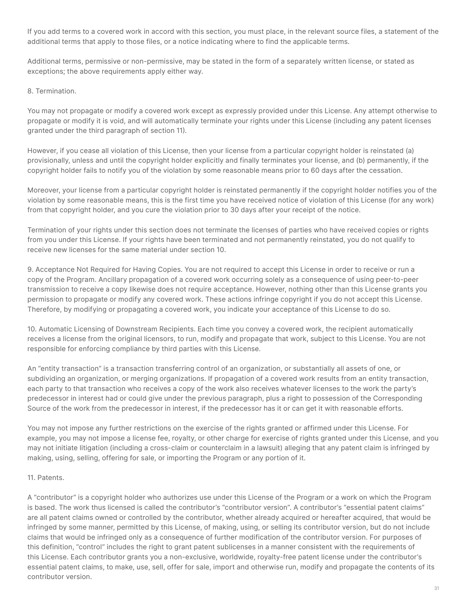If you add terms to a covered work in accord with this section, you must place, in the relevant source files, a statement of the additional terms that apply to those files, or a notice indicating where to find the applicable terms.

Additional terms, permissive or non-permissive, may be stated in the form of a separately written license, or stated as exceptions; the above requirements apply either way.

8. Termination.

You may not propagate or modify a covered work except as expressly provided under this License. Any attempt otherwise to propagate or modify it is void, and will automatically terminate your rights under this License (including any patent licenses granted under the third paragraph of section 11).

However, if you cease all violation of this License, then your license from a particular copyright holder is reinstated (a) provisionally, unless and until the copyright holder explicitly and finally terminates your license, and (b) permanently, if the copyright holder fails to notify you of the violation by some reasonable means prior to 60 days after the cessation.

Moreover, your license from a particular copyright holder is reinstated permanently if the copyright holder notifies you of the violation by some reasonable means, this is the first time you have received notice of violation of this License (for any work) from that copyright holder, and you cure the violation prior to 30 days after your receipt of the notice.

Termination of your rights under this section does not terminate the licenses of parties who have received copies or rights from you under this License. If your rights have been terminated and not permanently reinstated, you do not qualify to receive new licenses for the same material under section 10.

9. Acceptance Not Required for Having Copies. You are not required to accept this License in order to receive or run a copy of the Program. Ancillary propagation of a covered work occurring solely as a consequence of using peer-to-peer transmission to receive a copy likewise does not require acceptance. However, nothing other than this License grants you permission to propagate or modify any covered work. These actions infringe copyright if you do not accept this License. Therefore, by modifying or propagating a covered work, you indicate your acceptance of this License to do so.

10. Automatic Licensing of Downstream Recipients. Each time you convey a covered work, the recipient automatically receives a license from the original licensors, to run, modify and propagate that work, subject to this License. You are not responsible for enforcing compliance by third parties with this License.

An "entity transaction" is a transaction transferring control of an organization, or substantially all assets of one, or subdividing an organization, or merging organizations. If propagation of a covered work results from an entity transaction, each party to that transaction who receives a copy of the work also receives whatever licenses to the work the party's predecessor in interest had or could give under the previous paragraph, plus a right to possession of the Corresponding Source of the work from the predecessor in interest, if the predecessor has it or can get it with reasonable efforts.

You may not impose any further restrictions on the exercise of the rights granted or affirmed under this License. For example, you may not impose a license fee, royalty, or other charge for exercise of rights granted under this License, and you may not initiate litigation (including a cross-claim or counterclaim in a lawsuit) alleging that any patent claim is infringed by making, using, selling, offering for sale, or importing the Program or any portion of it.

#### 11. Patents.

A "contributor" is a copyright holder who authorizes use under this License of the Program or a work on which the Program is based. The work thus licensed is called the contributor's "contributor version". A contributor's "essential patent claims" are all patent claims owned or controlled by the contributor, whether already acquired or hereafter acquired, that would be infringed by some manner, permitted by this License, of making, using, or selling its contributor version, but do not include claims that would be infringed only as a consequence of further modification of the contributor version. For purposes of this definition, "control" includes the right to grant patent sublicenses in a manner consistent with the requirements of this License. Each contributor grants you a non-exclusive, worldwide, royalty-free patent license under the contributor's essential patent claims, to make, use, sell, offer for sale, import and otherwise run, modify and propagate the contents of its contributor version.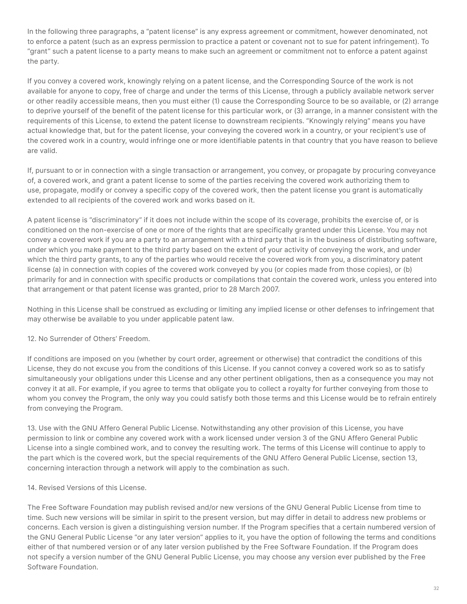In the following three paragraphs, a "patent license" is any express agreement or commitment, however denominated, not to enforce a patent (such as an express permission to practice a patent or covenant not to sue for patent infringement). To "grant" such a patent license to a party means to make such an agreement or commitment not to enforce a patent against the party.

If you convey a covered work, knowingly relying on a patent license, and the Corresponding Source of the work is not available for anyone to copy, free of charge and under the terms of this License, through a publicly available network server or other readily accessible means, then you must either (1) cause the Corresponding Source to be so available, or (2) arrange to deprive yourself of the benefit of the patent license for this particular work, or (3) arrange, in a manner consistent with the requirements of this License, to extend the patent license to downstream recipients. "Knowingly relying" means you have actual knowledge that, but for the patent license, your conveying the covered work in a country, or your recipient's use of the covered work in a country, would infringe one or more identifiable patents in that country that you have reason to believe are valid.

If, pursuant to or in connection with a single transaction or arrangement, you convey, or propagate by procuring conveyance of, a covered work, and grant a patent license to some of the parties receiving the covered work authorizing them to use, propagate, modify or convey a specific copy of the covered work, then the patent license you grant is automatically extended to all recipients of the covered work and works based on it.

A patent license is "discriminatory" if it does not include within the scope of its coverage, prohibits the exercise of, or is conditioned on the non-exercise of one or more of the rights that are specifically granted under this License. You may not convey a covered work if you are a party to an arrangement with a third party that is in the business of distributing software, under which you make payment to the third party based on the extent of your activity of conveying the work, and under which the third party grants, to any of the parties who would receive the covered work from you, a discriminatory patent license (a) in connection with copies of the covered work conveyed by you (or copies made from those copies), or (b) primarily for and in connection with specific products or compilations that contain the covered work, unless you entered into that arrangement or that patent license was granted, prior to 28 March 2007.

Nothing in this License shall be construed as excluding or limiting any implied license or other defenses to infringement that may otherwise be available to you under applicable patent law.

#### 12. No Surrender of Others' Freedom.

If conditions are imposed on you (whether by court order, agreement or otherwise) that contradict the conditions of this License, they do not excuse you from the conditions of this License. If you cannot convey a covered work so as to satisfy simultaneously your obligations under this License and any other pertinent obligations, then as a consequence you may not convey it at all. For example, if you agree to terms that obligate you to collect a royalty for further conveying from those to whom you convey the Program, the only way you could satisfy both those terms and this License would be to refrain entirely from conveying the Program.

13. Use with the GNU Affero General Public License. Notwithstanding any other provision of this License, you have permission to link or combine any covered work with a work licensed under version 3 of the GNU Affero General Public License into a single combined work, and to convey the resulting work. The terms of this License will continue to apply to the part which is the covered work, but the special requirements of the GNU Affero General Public License, section 13, concerning interaction through a network will apply to the combination as such.

#### 14. Revised Versions of this License.

The Free Software Foundation may publish revised and/or new versions of the GNU General Public License from time to time. Such new versions will be similar in spirit to the present version, but may differ in detail to address new problems or concerns. Each version is given a distinguishing version number. If the Program specifies that a certain numbered version of the GNU General Public License "or any later version" applies to it, you have the option of following the terms and conditions either of that numbered version or of any later version published by the Free Software Foundation. If the Program does not specify a version number of the GNU General Public License, you may choose any version ever published by the Free Software Foundation.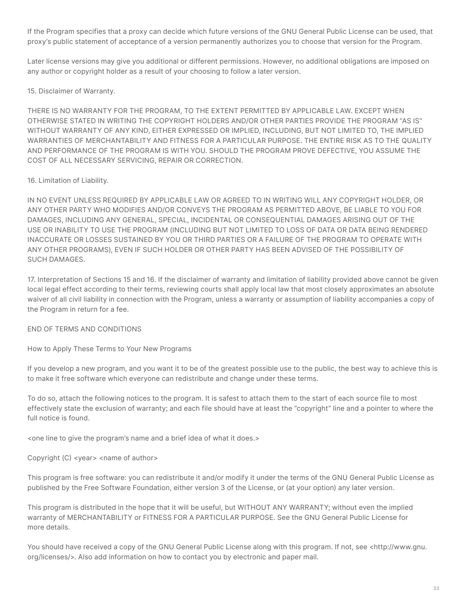If the Program specifies that a proxy can decide which future versions of the GNU General Public License can be used, that proxy's public statement of acceptance of a version permanently authorizes you to choose that version for the Program.

Later license versions may give you additional or different permissions. However, no additional obligations are imposed on any author or copyright holder as a result of your choosing to follow a later version.

15. Disclaimer of Warranty.

THERE IS NO WARRANTY FOR THE PROGRAM, TO THE EXTENT PERMITTED BY APPLICABLE LAW. EXCEPT WHEN OTHERWISE STATED IN WRITING THE COPYRIGHT HOLDERS AND/OR OTHER PARTIES PROVIDE THE PROGRAM "AS IS" WITHOUT WARRANTY OF ANY KIND, EITHER EXPRESSED OR IMPLIED, INCLUDING, BUT NOT LIMITED TO, THE IMPLIED WARRANTIES OF MERCHANTABILITY AND FITNESS FOR A PARTICULAR PURPOSE. THE ENTIRE RISK AS TO THE QUALITY AND PERFORMANCE OF THE PROGRAM IS WITH YOU. SHOULD THE PROGRAM PROVE DEFECTIVE, YOU ASSUME THE COST OF ALL NECESSARY SERVICING, REPAIR OR CORRECTION.

16. Limitation of Liability.

IN NO EVENT UNLESS REQUIRED BY APPLICABLE LAW OR AGREED TO IN WRITING WILL ANY COPYRIGHT HOLDER, OR ANY OTHER PARTY WHO MODIFIES AND/OR CONVEYS THE PROGRAM AS PERMITTED ABOVE, BE LIABLE TO YOU FOR DAMAGES, INCLUDING ANY GENERAL, SPECIAL, INCIDENTAL OR CONSEQUENTIAL DAMAGES ARISING OUT OF THE USE OR INABILITY TO USE THE PROGRAM (INCLUDING BUT NOT LIMITED TO LOSS OF DATA OR DATA BEING RENDERED INACCURATE OR LOSSES SUSTAINED BY YOU OR THIRD PARTIES OR A FAILURE OF THE PROGRAM TO OPERATE WITH ANY OTHER PROGRAMS), EVEN IF SUCH HOLDER OR OTHER PARTY HAS BEEN ADVISED OF THE POSSIBILITY OF SUCH DAMAGES.

17. Interpretation of Sections 15 and 16. If the disclaimer of warranty and limitation of liability provided above cannot be given local legal effect according to their terms, reviewing courts shall apply local law that most closely approximates an absolute waiver of all civil liability in connection with the Program, unless a warranty or assumption of liability accompanies a copy of the Program in return for a fee.

#### END OF TERMS AND CONDITIONS

How to Apply These Terms to Your New Programs

If you develop a new program, and you want it to be of the greatest possible use to the public, the best way to achieve this is to make it free software which everyone can redistribute and change under these terms.

To do so, attach the following notices to the program. It is safest to attach them to the start of each source file to most effectively state the exclusion of warranty; and each file should have at least the "copyright" line and a pointer to where the full notice is found.

<one line to give the program's name and a brief idea of what it does.>

Copyright (C) <year> <name of author>

This program is free software: you can redistribute it and/or modify it under the terms of the GNU General Public License as published by the Free Software Foundation, either version 3 of the License, or (at your option) any later version.

This program is distributed in the hope that it will be useful, but WITHOUT ANY WARRANTY; without even the implied warranty of MERCHANTABILITY or FITNESS FOR A PARTICULAR PURPOSE. See the GNU General Public License for more details.

You should have received a copy of the GNU General Public License along with this program. If not, see <http://www.gnu. org/licenses/>. Also add information on how to contact you by electronic and paper mail.